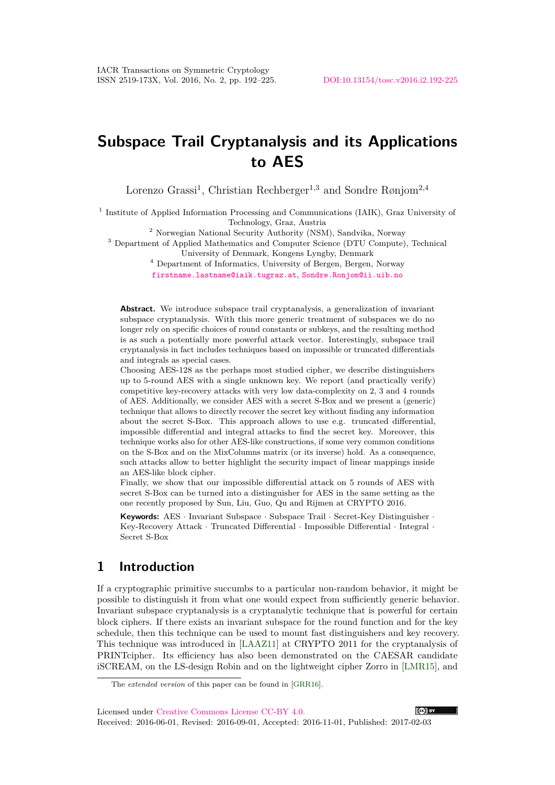# **Subspace Trail Cryptanalysis and its Applications to AES**

Lorenzo Grassi<sup>1</sup>, Christian Rechberger<sup>1,3</sup> and Sondre Rønjom<sup>2,4</sup>

<sup>1</sup> Institute of Applied Information Processing and Communications (IAIK), Graz University of Technology, Graz, Austria

<sup>2</sup> Norwegian National Security Authority (NSM), Sandvika, Norway

<sup>3</sup> Department of Applied Mathematics and Computer Science (DTU Compute), Technical University of Denmark, Kongens Lyngby, Denmark

<sup>4</sup> Department of Informatics, University of Bergen, Bergen, Norway

[firstname.lastname@iaik.tugraz.at](mailto:firstname.lastname@iaik.tugraz.at), [Sondre.Ronjom@ii.uib.no](mailto:Sondre.Ronjom@ii.uib.no)

**Abstract.** We introduce subspace trail cryptanalysis, a generalization of invariant subspace cryptanalysis. With this more generic treatment of subspaces we do no longer rely on specific choices of round constants or subkeys, and the resulting method is as such a potentially more powerful attack vector. Interestingly, subspace trail cryptanalysis in fact includes techniques based on impossible or truncated differentials and integrals as special cases.

Choosing AES-128 as the perhaps most studied cipher, we describe distinguishers up to 5-round AES with a single unknown key. We report (and practically verify) competitive key-recovery attacks with very low data-complexity on 2, 3 and 4 rounds of AES. Additionally, we consider AES with a secret S-Box and we present a (generic) technique that allows to directly recover the secret key without finding any information about the secret S-Box. This approach allows to use e.g. truncated differential, impossible differential and integral attacks to find the secret key. Moreover, this technique works also for other AES-like constructions, if some very common conditions on the S-Box and on the MixColumns matrix (or its inverse) hold. As a consequence, such attacks allow to better highlight the security impact of linear mappings inside an AES-like block cipher.

Finally, we show that our impossible differential attack on 5 rounds of AES with secret S-Box can be turned into a distinguisher for AES in the same setting as the one recently proposed by Sun, Liu, Guo, Qu and Rijmen at CRYPTO 2016.

**Keywords:** AES · Invariant Subspace · Subspace Trail · Secret-Key Distinguisher · Key-Recovery Attack · Truncated Differential · Impossible Differential · Integral · Secret S-Box

## **1 Introduction**

I[f](#page-0-0) a cryptographic primitive succumbs to a particular non-random behavior, it might be possible to distinguish it from what one would expect from sufficiently generic behavior. Invariant subspace cryptanalysis is a cryptanalytic technique that is powerful for certain block ciphers. If there exists an invariant subspace for the round function and for the key schedule, then this technique can be used to mount fast distinguishers and key recovery. This technique was introduced in [\[LAAZ11\]](#page-32-0) at CRYPTO 2011 for the cryptanalysis of PRINTcipher. Its efficiency has also been demonstrated on the CAESAR candidate iSCREAM, on the LS-design Robin and on the lightweight cipher Zorro in [\[LMR15\]](#page-32-1), and

Licensed under [Creative Commons License CC-BY 4.0.](http://creativecommons.org/licenses/by/4.0/)

Received: 2016-06-01, Revised: 2016-09-01, Accepted: 2016-11-01, Published: 2017-02-03



<span id="page-0-0"></span>The *extended version* of this paper can be found in [\[GRR16\]](#page-32-2).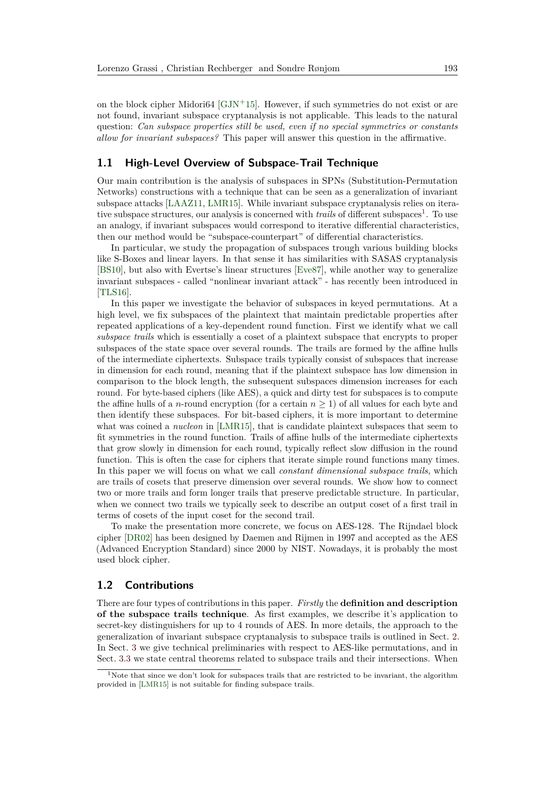on the block cipher Midori64  $\left[\text{GJN}+15\right]$ . However, if such symmetries do not exist or are not found, invariant subspace cryptanalysis is not applicable. This leads to the natural question: *Can subspace properties still be used, even if no special symmetries or constants allow for invariant subspaces?* This paper will answer this question in the affirmative.

#### **1.1 High-Level Overview of Subspace-Trail Technique**

Our main contribution is the analysis of subspaces in SPNs (Substitution-Permutation Networks) constructions with a technique that can be seen as a generalization of invariant subspace attacks [\[LAAZ11,](#page-32-0) [LMR15\]](#page-32-1). While invariant subspace cryptanalysis relies on iterative subspace structures, our analysis is concerned with *trails* of different subspaces<sup>[1](#page-1-0)</sup>. To use an analogy, if invariant subspaces would correspond to iterative differential characteristics, then our method would be "subspace-counterpart" of differential characteristics.

In particular, we study the propagation of subspaces trough various building blocks like S-Boxes and linear layers. In that sense it has similarities with SASAS cryptanalysis [\[BS10\]](#page-31-0), but also with Evertse's linear structures [\[Eve87\]](#page-32-4), while another way to generalize invariant subspaces - called "nonlinear invariant attack" - has recently been introduced in [\[TLS16\]](#page-33-0).

In this paper we investigate the behavior of subspaces in keyed permutations. At a high level, we fix subspaces of the plaintext that maintain predictable properties after repeated applications of a key-dependent round function. First we identify what we call *subspace trails* which is essentially a coset of a plaintext subspace that encrypts to proper subspaces of the state space over several rounds. The trails are formed by the affine hulls of the intermediate ciphertexts. Subspace trails typically consist of subspaces that increase in dimension for each round, meaning that if the plaintext subspace has low dimension in comparison to the block length, the subsequent subspaces dimension increases for each round. For byte-based ciphers (like AES), a quick and dirty test for subspaces is to compute the affine hulls of a *n*-round encryption (for a certain  $n \geq 1$ ) of all values for each byte and then identify these subspaces. For bit-based ciphers, it is more important to determine what was coined a *nucleon* in [\[LMR15\]](#page-32-1), that is candidate plaintext subspaces that seem to fit symmetries in the round function. Trails of affine hulls of the intermediate ciphertexts that grow slowly in dimension for each round, typically reflect slow diffusion in the round function. This is often the case for ciphers that iterate simple round functions many times. In this paper we will focus on what we call *constant dimensional subspace trails*, which are trails of cosets that preserve dimension over several rounds. We show how to connect two or more trails and form longer trails that preserve predictable structure. In particular, when we connect two trails we typically seek to describe an output coset of a first trail in terms of cosets of the input coset for the second trail.

To make the presentation more concrete, we focus on AES-128. The Rijndael block cipher [\[DR02\]](#page-31-1) has been designed by Daemen and Rijmen in 1997 and accepted as the AES (Advanced Encryption Standard) since 2000 by NIST. Nowadays, it is probably the most used block cipher.

#### **1.2 Contributions**

There are four types of contributions in this paper. *Firstly* the **definition and description of the subspace trails technique**. As first examples, we describe it's application to secret-key distinguishers for up to 4 rounds of AES. In more details, the approach to the generalization of invariant subspace cryptanalysis to subspace trails is outlined in Sect. [2.](#page-8-0) In Sect. [3](#page-10-0) we give technical preliminaries with respect to AES-like permutations, and in Sect. [3.3](#page-13-0) we state central theorems related to subspace trails and their intersections. When

<span id="page-1-0"></span><sup>&</sup>lt;sup>1</sup>Note that since we don't look for subspaces trails that are restricted to be invariant, the algorithm provided in [\[LMR15\]](#page-32-1) is not suitable for finding subspace trails.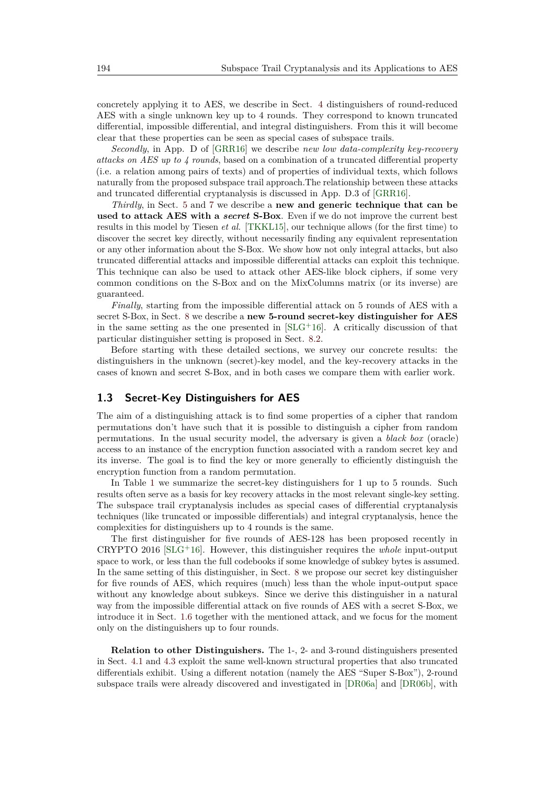concretely applying it to AES, we describe in Sect. [4](#page-13-1) distinguishers of round-reduced AES with a single unknown key up to 4 rounds. They correspond to known truncated differential, impossible differential, and integral distinguishers. From this it will become clear that these properties can be seen as special cases of subspace trails.

*Secondly*, in App. D of [\[GRR16\]](#page-32-2) we describe *new low data-complexity key-recovery attacks on AES up to 4 rounds*, based on a combination of a truncated differential property (i.e. a relation among pairs of texts) and of properties of individual texts, which follows naturally from the proposed subspace trail approach.The relationship between these attacks and truncated differential cryptanalysis is discussed in App. D.3 of [\[GRR16\]](#page-32-2).

*Thirdly*, in Sect. [5](#page-20-0) and [7](#page-24-0) we describe a **new and generic technique that can be used to attack AES with a** *secret* **S-Box**. Even if we do not improve the current best results in this model by Tiesen *et al.* [\[TKKL15\]](#page-33-1), our technique allows (for the first time) to discover the secret key directly, without necessarily finding any equivalent representation or any other information about the S-Box. We show how not only integral attacks, but also truncated differential attacks and impossible differential attacks can exploit this technique. This technique can also be used to attack other AES-like block ciphers, if some very common conditions on the S-Box and on the MixColumns matrix (or its inverse) are guaranteed.

*Finally*, starting from the impossible differential attack on 5 rounds of AES with a secret S-Box, in Sect. [8](#page-26-0) we describe a **new 5-round secret-key distinguisher for AES** in the same setting as the one presented in  $SLG+16$ . A critically discussion of that particular distinguisher setting is proposed in Sect. [8.2.](#page-29-0)

Before starting with these detailed sections, we survey our concrete results: the distinguishers in the unknown (secret)-key model, and the key-recovery attacks in the cases of known and secret S-Box, and in both cases we compare them with earlier work.

#### **1.3 Secret-Key Distinguishers for AES**

The aim of a distinguishing attack is to find some properties of a cipher that random permutations don't have such that it is possible to distinguish a cipher from random permutations. In the usual security model, the adversary is given a *black box* (oracle) access to an instance of the encryption function associated with a random secret key and its inverse. The goal is to find the key or more generally to efficiently distinguish the encryption function from a random permutation.

In Table [1](#page-3-0) we summarize the secret-key distinguishers for 1 up to 5 rounds. Such results often serve as a basis for key recovery attacks in the most relevant single-key setting. The subspace trail cryptanalysis includes as special cases of differential cryptanalysis techniques (like truncated or impossible differentials) and integral cryptanalysis, hence the complexities for distinguishers up to 4 rounds is the same.

The first distinguisher for five rounds of AES-128 has been proposed recently in CRYPTO 2016 [\[SLG](#page-33-2)<sup>+</sup>16]. However, this distinguisher requires the *whole* input-output space to work, or less than the full codebooks if some knowledge of subkey bytes is assumed. In the same setting of this distinguisher, in Sect. [8](#page-26-0) we propose our secret key distinguisher for five rounds of AES, which requires (much) less than the whole input-output space without any knowledge about subkeys. Since we derive this distinguisher in a natural way from the impossible differential attack on five rounds of AES with a secret S-Box, we introduce it in Sect. [1.6](#page-7-0) together with the mentioned attack, and we focus for the moment only on the distinguishers up to four rounds.

**Relation to other Distinguishers.** The 1-, 2- and 3-round distinguishers presented in Sect. [4.1](#page-14-0) and [4.3](#page-16-0) exploit the same well-known structural properties that also truncated differentials exhibit. Using a different notation (namely the AES "Super S-Box"), 2-round subspace trails were already discovered and investigated in [\[DR06a\]](#page-31-2) and [\[DR06b\]](#page-31-3), with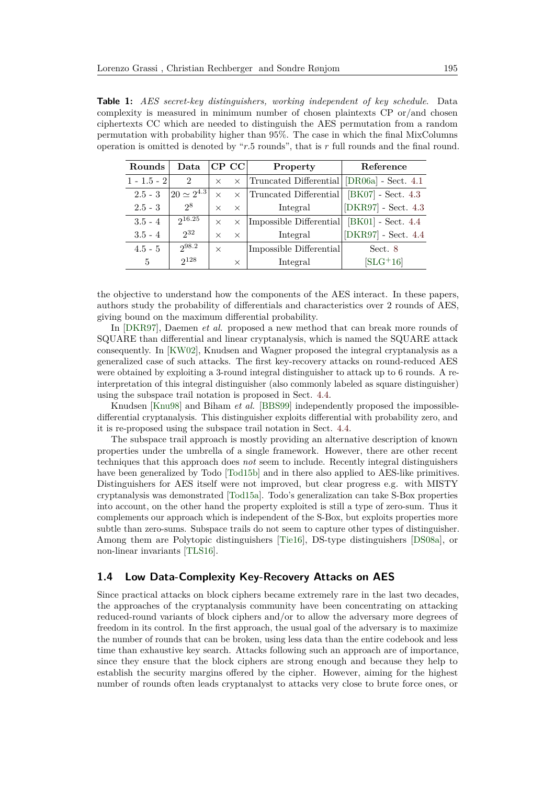<span id="page-3-0"></span>**Table 1:** *AES secret-key distinguishers, working independent of key schedule*. Data complexity is measured in minimum number of chosen plaintexts CP or/and chosen ciphertexts CC which are needed to distinguish the AES permutation from a random permutation with probability higher than 95%. The case in which the final MixColumns operation is omitted is denoted by "*r.*5 rounds", that is *r* full rounds and the final round.

| Rounds        | Data                 |          | $CP$ $CC$ | Property                                   | Reference             |
|---------------|----------------------|----------|-----------|--------------------------------------------|-----------------------|
| $1 - 1.5 - 2$ | 2                    | $\times$ | $\times$  | Truncated Differential [DR06a] - Sect. 4.1 |                       |
| $2.5 - 3$     | $120 \simeq 2^{4.3}$ | $\times$ | $\times$  | Truncated Differential                     | $[BK07]$ - Sect. 4.3  |
| $2.5 - 3$     | 2 <sup>8</sup>       | $\times$ | $\times$  | Integral                                   | $[DKR97]$ - Sect. 4.3 |
| $3.5 - 4$     | 216.25               | $\times$ | $\times$  | Impossible Differential                    | $[BK01]$ - Sect. 4.4  |
| $3.5 - 4$     | $2^{32}$             | $\times$ | $\times$  | Integral                                   | [DKR97] - Sect. 4.4   |
| $4.5 - 5$     | 298.2                | $\times$ |           | Impossible Differential                    | Sect. 8               |
| 5             | $2^{128}$            |          | $\times$  | Integral                                   | $[SLG+16]$            |

the objective to understand how the components of the AES interact. In these papers, authors study the probability of differentials and characteristics over 2 rounds of AES, giving bound on the maximum differential probability.

In [\[DKR97\]](#page-31-4), Daemen *et al.* proposed a new method that can break more rounds of SQUARE than differential and linear cryptanalysis, which is named the SQUARE attack consequently. In [\[KW02\]](#page-32-5), Knudsen and Wagner proposed the integral cryptanalysis as a generalized case of such attacks. The first key-recovery attacks on round-reduced AES were obtained by exploiting a 3-round integral distinguisher to attack up to 6 rounds. A reinterpretation of this integral distinguisher (also commonly labeled as square distinguisher) using the subspace trail notation is proposed in Sect. [4.4.](#page-18-0)

Knudsen [\[Knu98\]](#page-32-6) and Biham *et al.* [\[BBS99\]](#page-30-2) independently proposed the impossibledifferential cryptanalysis. This distinguisher exploits differential with probability zero, and it is re-proposed using the subspace trail notation in Sect. [4.4.](#page-18-0)

The subspace trail approach is mostly providing an alternative description of known properties under the umbrella of a single framework. However, there are other recent techniques that this approach does *not* seem to include. Recently integral distinguishers have been generalized by Todo [\[Tod15b\]](#page-33-3) and in there also applied to AES-like primitives. Distinguishers for AES itself were not improved, but clear progress e.g. with MISTY cryptanalysis was demonstrated [\[Tod15a\]](#page-33-4). Todo's generalization can take S-Box properties into account, on the other hand the property exploited is still a type of zero-sum. Thus it complements our approach which is independent of the S-Box, but exploits properties more subtle than zero-sums. Subspace trails do not seem to capture other types of distinguisher. Among them are Polytopic distinguishers [\[Tie16\]](#page-33-5), DS-type distinguishers [\[DS08a\]](#page-31-5), or non-linear invariants [\[TLS16\]](#page-33-0).

### **1.4 Low Data-Complexity Key-Recovery Attacks on AES**

Since practical attacks on block ciphers became extremely rare in the last two decades, the approaches of the cryptanalysis community have been concentrating on attacking reduced-round variants of block ciphers and/or to allow the adversary more degrees of freedom in its control. In the first approach, the usual goal of the adversary is to maximize the number of rounds that can be broken, using less data than the entire codebook and less time than exhaustive key search. Attacks following such an approach are of importance, since they ensure that the block ciphers are strong enough and because they help to establish the security margins offered by the cipher. However, aiming for the highest number of rounds often leads cryptanalyst to attacks very close to brute force ones, or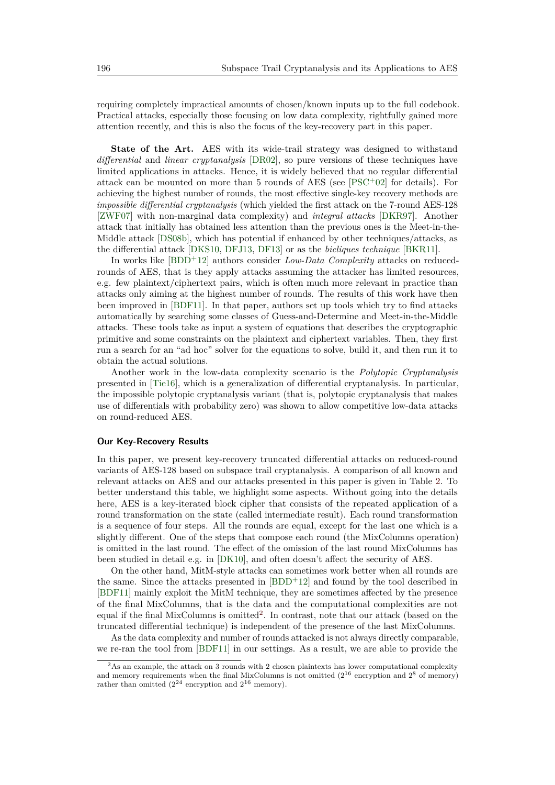requiring completely impractical amounts of chosen/known inputs up to the full codebook. Practical attacks, especially those focusing on low data complexity, rightfully gained more attention recently, and this is also the focus of the key-recovery part in this paper.

**State of the Art.** AES with its wide-trail strategy was designed to withstand *differential* and *linear cryptanalysis* [\[DR02\]](#page-31-1), so pure versions of these techniques have limited applications in attacks. Hence, it is widely believed that no regular differential attack can be mounted on more than 5 rounds of AES (see  $[PSC^+02]$  $[PSC^+02]$  for details). For achieving the highest number of rounds, the most effective single-key recovery methods are *impossible differential cryptanalysis* (which yielded the first attack on the 7-round AES-128 [\[ZWF07\]](#page-33-6) with non-marginal data complexity) and *integral attacks* [\[DKR97\]](#page-31-4). Another attack that initially has obtained less attention than the previous ones is the Meet-in-the-Middle attack [\[DS08b\]](#page-32-8), which has potential if enhanced by other techniques/attacks, as the differential attack [\[DKS10,](#page-31-6) [DFJ13,](#page-31-7) [DF13\]](#page-31-8) or as the *bicliques technique* [\[BKR11\]](#page-31-9).

In works like [\[BDD](#page-30-3)<sup>+</sup>12] authors consider *Low-Data Complexity* attacks on reducedrounds of AES, that is they apply attacks assuming the attacker has limited resources, e.g. few plaintext/ciphertext pairs, which is often much more relevant in practice than attacks only aiming at the highest number of rounds. The results of this work have then been improved in [\[BDF11\]](#page-30-4). In that paper, authors set up tools which try to find attacks automatically by searching some classes of Guess-and-Determine and Meet-in-the-Middle attacks. These tools take as input a system of equations that describes the cryptographic primitive and some constraints on the plaintext and ciphertext variables. Then, they first run a search for an "ad hoc" solver for the equations to solve, build it, and then run it to obtain the actual solutions.

Another work in the low-data complexity scenario is the *Polytopic Cryptanalysis* presented in [\[Tie16\]](#page-33-5), which is a generalization of differential cryptanalysis. In particular, the impossible polytopic cryptanalysis variant (that is, polytopic cryptanalysis that makes use of differentials with probability zero) was shown to allow competitive low-data attacks on round-reduced AES.

#### **Our Key-Recovery Results**

In this paper, we present key-recovery truncated differential attacks on reduced-round variants of AES-128 based on subspace trail cryptanalysis. A comparison of all known and relevant attacks on AES and our attacks presented in this paper is given in Table [2.](#page-5-0) To better understand this table, we highlight some aspects. Without going into the details here, AES is a key-iterated block cipher that consists of the repeated application of a round transformation on the state (called intermediate result). Each round transformation is a sequence of four steps. All the rounds are equal, except for the last one which is a slightly different. One of the steps that compose each round (the MixColumns operation) is omitted in the last round. The effect of the omission of the last round MixColumns has been studied in detail e.g. in [\[DK10\]](#page-31-10), and often doesn't affect the security of AES.

On the other hand, MitM-style attacks can sometimes work better when all rounds are the same. Since the attacks presented in [\[BDD](#page-30-3)<sup>+</sup>12] and found by the tool described in [\[BDF11\]](#page-30-4) mainly exploit the MitM technique, they are sometimes affected by the presence of the final MixColumns, that is the data and the computational complexities are not equal if the final MixColumns is omitted<sup>[2](#page-4-0)</sup>. In contrast, note that our attack (based on the truncated differential technique) is independent of the presence of the last MixColumns.

As the data complexity and number of rounds attacked is not always directly comparable, we re-ran the tool from [\[BDF11\]](#page-30-4) in our settings. As a result, we are able to provide the

<span id="page-4-0"></span><sup>&</sup>lt;sup>2</sup>As an example, the attack on 3 rounds with 2 chosen plaintexts has lower computational complexity and memory requirements when the final MixColumns is not omitted  $(2^{16}$  encryption and  $2^8$  of memory) rather than omitted  $(2^{24}$  encryption and  $2^{16}$  memory).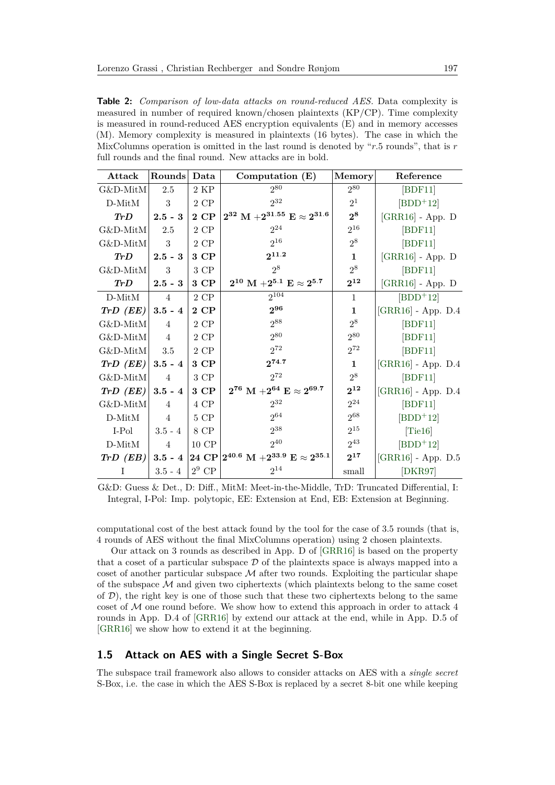<span id="page-5-0"></span>**Table 2:** *Comparison of low-data attacks on round-reduced AES.* Data complexity is measured in number of required known/chosen plaintexts (KP/CP). Time complexity is measured in round-reduced AES encryption equivalents (E) and in memory accesses (M). Memory complexity is measured in plaintexts (16 bytes). The case in which the MixColumns operation is omitted in the last round is denoted by "*r.*5 rounds", that is *r* full rounds and the final round. New attacks are in bold.

| Attack                 | Rounds           | Data               | Computation $(E)$                                                               | Memory       | Reference                               |
|------------------------|------------------|--------------------|---------------------------------------------------------------------------------|--------------|-----------------------------------------|
| $G\&D\text{-MitM}$     | 2.5              | 2 KP               | 280                                                                             | $2^{80}$     | [BDF11]                                 |
| $D$ -Mit $M$           | 3                | $2~\mathrm{CP}$    | $2^{32}$                                                                        | $2^1$        | $[BDD+12]$                              |
| Tr D                   | $2.5 - 3$        | 2 CP               | $2^{32}$ M $+2^{31.55}$ E $\approx 2^{31.6}$                                    | $2^8$        | $\left[ \mathrm{GRR16}\right]$ - App. D |
| $G&D\text{-}MitM$      | 2.5              | $2\ {\rm CP}$      | $2^{24}$                                                                        | $2^{16}$     | [BDF11]                                 |
| $G\&D-MitM$            | 3                | $2~\mathrm{CP}$    | $2^{16}$                                                                        | $2^8$        | [BDF11]                                 |
| Tr D                   | $2.5 - 3$        | 3 CP               | $2^{11.2}$                                                                      | $\mathbf{1}$ | $[GRR16]$ - App. D                      |
| G&D-MitM               | $\boldsymbol{3}$ | $3~\mathrm{CP}$    | $2^8$                                                                           | $2^8$        | [BDF11]                                 |
| TrD                    | $2.5 - 3$        | 3 CP               | $2^{10}$ M $+2^{5.1}$ E $\approx 2^{5.7}$                                       | $2^{12}$     | $[GRR16]$ - App. $D$                    |
| $D\text{-}MitM$        | $\overline{4}$   | $2~\mathrm{CP}$    | 2104                                                                            | 1            | $[BDD+12]$                              |
| Tr D (EE)              | $3.5 - 4$        | $2$ CP $\,$        | $2^{96}$                                                                        | $\mathbf{1}$ | $\left[$ GRR16 $\right]$ - App. D.4     |
| G&D-MitM               | $\overline{4}$   | 2 CP               | $2^{88}$                                                                        | $2^8$        | [BDF11]                                 |
| G&D-MitM               | 4                | $2$ CP             | $2^{80}$                                                                        | $2^{80}$     | [BDF11]                                 |
| $G&D\text{-}MitM$      | $3.5\,$          | $2~\mathrm{CP}$    | $2^{72}$                                                                        | $2^{72}$     | [BDF11]                                 |
| Tr D (EE)              | $3.5 - 4$        | 3 CP               | $2^{74.7}$                                                                      | $\mathbf{1}$ | $[GRR16]$ - App. D.4                    |
| G&D-MitM               | 4                | $3~\mathrm{CP}$    | $2^{72}$                                                                        | $2^8$        | [BDF11]                                 |
| $Tr D$ (EE)            | $3.5 - 4$        | 3 CP               | $2^{76}~{\rm M}$ + $2^{64}~{\rm E} \approx 2^{69.7}$                            | $2^{12}$     | $[GRR16]$ - App. D.4                    |
| G&D-MitM               | $\overline{4}$   | 4 CP               | $2^{32}$                                                                        | $2^{24}$     | [BDF11]                                 |
| $D$ -MitM              | $\overline{4}$   | 5 CP               | $2^{64}$                                                                        | $2^{68}$     | $[BDD+12]$                              |
| I-Pol                  | $3.5 - 4$        | $8$ $\mathrm{CP}$  | $2^{38}$                                                                        | $2^{15}$     | [Tie16]                                 |
| $D\text{-}M\text{i}tM$ | 4                | $10$ $\mathrm{CP}$ | $2^{40}$                                                                        | $2^{43}$     | $[BDD+12]$                              |
| TrD(EB)                | $3.5 - 4$        |                    | $ 24~\mathrm{CP} 2^{40.6} \mathrm{~M}$ $+2^{33.9} \mathrm{~E} \approx 2^{35.1}$ | $2^{17}$     | $[GRR16]$ - App. D.5                    |
| I                      | $3.5 - 4$        | $2^9$ CP           | $2^{14}$                                                                        | small        | [DKR97]                                 |

G&D: Guess & Det., D: Diff., MitM: Meet-in-the-Middle, TrD: Truncated Differential, I: Integral, I-Pol: Imp. polytopic, EE: Extension at End, EB: Extension at Beginning.

computational cost of the best attack found by the tool for the case of 3.5 rounds (that is, 4 rounds of AES without the final MixColumns operation) using 2 chosen plaintexts.

Our attack on 3 rounds as described in App. D of [\[GRR16\]](#page-32-2) is based on the property that a coset of a particular subspace  $\mathcal D$  of the plaintexts space is always mapped into a coset of another particular subspace  $\mathcal M$  after two rounds. Exploiting the particular shape of the subspace  $\mathcal M$  and given two ciphertexts (which plaintexts belong to the same coset of  $D$ ), the right key is one of those such that these two ciphertexts belong to the same coset of  $M$  one round before. We show how to extend this approach in order to attack  $4$ rounds in App. D.4 of [\[GRR16\]](#page-32-2) by extend our attack at the end, while in App. D.5 of [\[GRR16\]](#page-32-2) we show how to extend it at the beginning.

#### **1.5 Attack on AES with a Single Secret S-Box**

The subspace trail framework also allows to consider attacks on AES with a *single secret* S-Box, i.e. the case in which the AES S-Box is replaced by a secret 8-bit one while keeping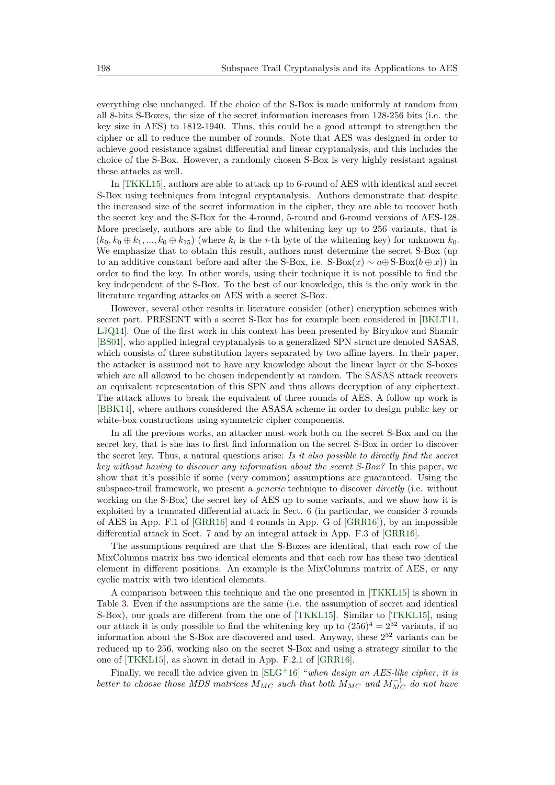everything else unchanged. If the choice of the S-Box is made uniformly at random from all 8-bits S-Boxes, the size of the secret information increases from 128-256 bits (i.e. the key size in AES) to 1812-1940. Thus, this could be a good attempt to strengthen the cipher or all to reduce the number of rounds. Note that AES was designed in order to achieve good resistance against differential and linear cryptanalysis, and this includes the choice of the S-Box. However, a randomly chosen S-Box is very highly resistant against these attacks as well.

In [\[TKKL15\]](#page-33-1), authors are able to attack up to 6-round of AES with identical and secret S-Box using techniques from integral cryptanalysis. Authors demonstrate that despite the increased size of the secret information in the cipher, they are able to recover both the secret key and the S-Box for the 4-round, 5-round and 6-round versions of AES-128. More precisely, authors are able to find the whitening key up to 256 variants, that is  $(k_0, k_0 \oplus k_1, ..., k_0 \oplus k_{15})$  (where  $k_i$  is the *i*-th byte of the whitening key) for unknown  $k_0$ . We emphasize that to obtain this result, authors must determine the secret S-Box (up to an additive constant before and after the S-Box, i.e.  $S\text{-Box}(x) \sim a \oplus S\text{-Box}(b \oplus x)$  in order to find the key. In other words, using their technique it is not possible to find the key independent of the S-Box. To the best of our knowledge, this is the only work in the literature regarding attacks on AES with a secret S-Box.

However, several other results in literature consider (other) encryption schemes with secret part. PRESENT with a secret S-Box has for example been considered in [\[BKLT11,](#page-31-11) [LJQ14\]](#page-32-9). One of the first work in this context has been presented by Biryukov and Shamir [\[BS01\]](#page-31-12), who applied integral cryptanalysis to a generalized SPN structure denoted SASAS, which consists of three substitution layers separated by two affine layers. In their paper, the attacker is assumed not to have any knowledge about the linear layer or the S-boxes which are all allowed to be chosen independently at random. The SASAS attack recovers an equivalent representation of this SPN and thus allows decryption of any ciphertext. The attack allows to break the equivalent of three rounds of AES. A follow up work is [\[BBK14\]](#page-30-5), where authors considered the ASASA scheme in order to design public key or white-box constructions using symmetric cipher components.

In all the previous works, an attacker must work both on the secret S-Box and on the secret key, that is she has to first find information on the secret S-Box in order to discover the secret key. Thus, a natural questions arise: *Is it also possible to directly find the secret key without having to discover any information about the secret S-Box?* In this paper, we show that it's possible if some (very common) assumptions are guaranteed. Using the subspace-trail framework, we present a *generic* technique to discover *directly* (i.e. without working on the S-Box) the secret key of AES up to some variants, and we show how it is exploited by a truncated differential attack in Sect. [6](#page-23-0) (in particular, we consider 3 rounds of AES in App. F.1 of [\[GRR16\]](#page-32-2) and 4 rounds in App. G of [\[GRR16\]](#page-32-2)), by an impossible differential attack in Sect. [7](#page-24-0) and by an integral attack in App. F.3 of [\[GRR16\]](#page-32-2).

The assumptions required are that the S-Boxes are identical, that each row of the MixColumns matrix has two identical elements and that each row has these two identical element in different positions. An example is the MixColumns matrix of AES, or any cyclic matrix with two identical elements.

A comparison between this technique and the one presented in [\[TKKL15\]](#page-33-1) is shown in Table [3.](#page-7-1) Even if the assumptions are the same (i.e. the assumption of secret and identical S-Box), our goals are different from the one of [\[TKKL15\]](#page-33-1). Similar to [\[TKKL15\]](#page-33-1), using our attack it is only possible to find the whitening key up to  $(256)^4 = 2^{32}$  variants, if no information about the S-Box are discovered and used. Anyway, these 2 <sup>32</sup> variants can be reduced up to 256, working also on the secret S-Box and using a strategy similar to the one of [\[TKKL15\]](#page-33-1), as shown in detail in App. F.2.1 of [\[GRR16\]](#page-32-2).

Finally, we recall the advice given in [\[SLG](#page-33-2)<sup>+</sup>16] "*when design an AES-like cipher, it is better to choose those MDS matrices*  $M_{MC}$  *such that both*  $M_{MC}$  *and*  $M_{MC}^{-1}$  *do not have*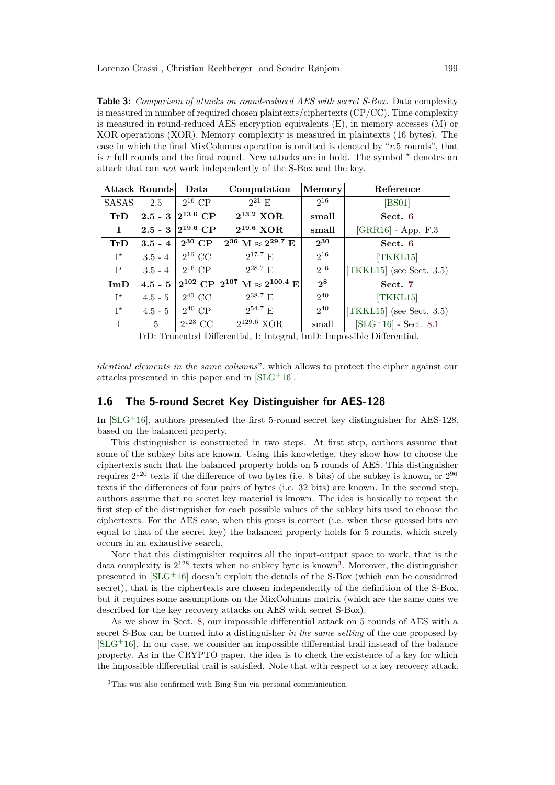<span id="page-7-1"></span>**Table 3:** *Comparison of attacks on round-reduced AES with secret S-Box.* Data complexity is measured in number of required chosen plaintexts/ciphertexts (CP/CC). Time complexity is measured in round-reduced AES encryption equivalents (E), in memory accesses (M) or XOR operations (XOR). Memory complexity is measured in plaintexts (16 bytes). The case in which the final MixColumns operation is omitted is denoted by "*r.*5 rounds", that is r full rounds and the final round. New attacks are in bold. The symbol  $*$  denotes an attack that can *not* work independently of the S-Box and the key.

|              | Attack Rounds | Data           | Computation                                                        | <b>Memory</b> | Reference                   |
|--------------|---------------|----------------|--------------------------------------------------------------------|---------------|-----------------------------|
| <b>SASAS</b> | 2.5           | $2^{16}$ CP    | $2^{21} E$                                                         | $2^{16}$      | [BS01]                      |
| TrD          | $2.5 - 3$     | $ 2^{13.6}$ CP | $2^{13.2}$ XOR                                                     | small         | Sect. 6                     |
| $\bf{I}$     | $2.5 - 3$     | $2^{19.6}$ CP  | $2^{19.6}$ XOR                                                     | small         | $[GRR16]$ - App. $F.3$      |
| TrD          | $3.5 - 4$     | $2^{30}$ CP    | $2^{36}$ M $\approx 2^{29.7}$ E                                    | $2^{30}$      | Sect. 6                     |
| $I^{\star}$  | $3.5 - 4$     | $2^{16}$ CC    | $2^{17.7}$ E                                                       | $2^{16}$      | [TKKL15]                    |
| $I^{\star}$  | $3.5 - 4$     | $2^{16}$ CP    | $2^{28.7}$ F.                                                      | $2^{16}$      | [TKKL15] (see Sect. $3.5$ ) |
| ImD          | $4.5 - 5$     |                | $2^{102}~\text{CP}\, 2^{107}~\text{M} \approx 2^{100.4}~\text{E} $ | $2^8$         | Sect. 7                     |
| $I^{\star}$  | $4.5 - 5$     | $2^{40}$ CC    | $2^{38.7}$ E                                                       | $2^{40}$      | [TKKL15]                    |
| $I^{\star}$  | $4.5 - 5$     | $2^{40}$ CP    | $2^{54.7}$ E                                                       | $2^{40}$      | [TKKL15] (see Sect. 3.5)    |
| $\mathbf{I}$ | 5             | $2^{128}$ CC   | $2^{129.6}$ XOR                                                    | small         | $[SLG+16]$ - Sect. 8.1      |

TrD: Truncated Differential, I: Integral, ImD: Impossible Differential.

*identical elements in the same columns*", which allows to protect the cipher against our attacks presented in this paper and in [\[SLG](#page-33-2)<sup>+</sup>16].

#### <span id="page-7-0"></span>**1.6 The 5-round Secret Key Distinguisher for AES-128**

In  $[SLG^+16]$  $[SLG^+16]$ , authors presented the first 5-round secret key distinguisher for AES-128, based on the balanced property.

This distinguisher is constructed in two steps. At first step, authors assume that some of the subkey bits are known. Using this knowledge, they show how to choose the ciphertexts such that the balanced property holds on 5 rounds of AES. This distinguisher requires  $2^{120}$  texts if the difference of two bytes (i.e. 8 bits) of the subkey is known, or  $2^{96}$ texts if the differences of four pairs of bytes (i.e. 32 bits) are known. In the second step, authors assume that no secret key material is known. The idea is basically to repeat the first step of the distinguisher for each possible values of the subkey bits used to choose the ciphertexts. For the AES case, when this guess is correct (i.e. when these guessed bits are equal to that of the secret key) the balanced property holds for 5 rounds, which surely occurs in an exhaustive search.

Note that this distinguisher requires all the input-output space to work, that is the data complexity is  $2^{128}$  texts when no subkey byte is known<sup>[3](#page-7-2)</sup>. Moreover, the distinguisher presented in [\[SLG](#page-33-2)<sup>+</sup>16] doesn't exploit the details of the S-Box (which can be considered secret), that is the ciphertexts are chosen independently of the definition of the S-Box, but it requires some assumptions on the MixColumns matrix (which are the same ones we described for the key recovery attacks on AES with secret S-Box).

As we show in Sect. [8,](#page-26-0) our impossible differential attack on 5 rounds of AES with a secret S-Box can be turned into a distinguisher *in the same setting* of the one proposed by  $[SLG<sup>+</sup>16]$  $[SLG<sup>+</sup>16]$ . In our case, we consider an impossible differential trail instead of the balance property. As in the CRYPTO paper, the idea is to check the existence of a key for which the impossible differential trail is satisfied. Note that with respect to a key recovery attack,

<span id="page-7-2"></span><sup>3</sup>This was also confirmed with Bing Sun via personal communication.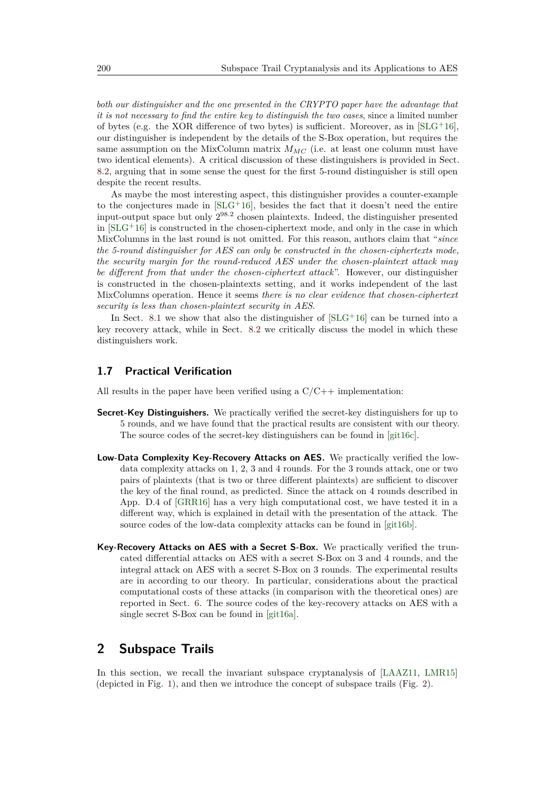*both our distinguisher and the one presented in the CRYPTO paper have the advantage that it is not necessary to find the entire key to distinguish the two cases*, since a limited number of bytes (e.g. the XOR difference of two bytes) is sufficient. Moreover, as in  $[SLG^+16]$  $[SLG^+16]$ , our distinguisher is independent by the details of the S-Box operation, but requires the same assumption on the MixColumn matrix  $M_{MC}$  (i.e. at least one column must have two identical elements). A critical discussion of these distinguishers is provided in Sect. [8.2,](#page-29-0) arguing that in some sense the quest for the first 5-round distinguisher is still open despite the recent results.

As maybe the most interesting aspect, this distinguisher provides a counter-example to the conjectures made in  $SLG+16$ , besides the fact that it doesn't need the entire input-output space but only 2 98*.*2 chosen plaintexts. Indeed, the distinguisher presented in  $[SLG^+16]$  $[SLG^+16]$  is constructed in the chosen-ciphertext mode, and only in the case in which MixColumns in the last round is not omitted. For this reason, authors claim that "*since the 5-round distinguisher for AES can only be constructed in the chosen-ciphertexts mode, the security margin for the round-reduced AES under the chosen-plaintext attack may be different from that under the chosen-ciphertext attack*". However, our distinguisher is constructed in the chosen-plaintexts setting, and it works independent of the last MixColumns operation. Hence it seems *there is no clear evidence that chosen-ciphertext security is less than chosen-plaintext security in AES*.

In Sect. [8.1](#page-27-0) we show that also the distinguisher of  $SLG+16$  can be turned into a key recovery attack, while in Sect. [8.2](#page-29-0) we critically discuss the model in which these distinguishers work.

#### **1.7 Practical Verification**

All results in the paper have been verified using a  $C/C++$  implementation:

- **Secret-Key Distinguishers.** We practically verified the secret-key distinguishers for up to 5 rounds, and we have found that the practical results are consistent with our theory. The source codes of the secret-key distinguishers can be found in [\[git16c\]](#page-32-10).
- **Low-Data Complexity Key-Recovery Attacks on AES.** We practically verified the lowdata complexity attacks on 1, 2, 3 and 4 rounds. For the 3 rounds attack, one or two pairs of plaintexts (that is two or three different plaintexts) are sufficient to discover the key of the final round, as predicted. Since the attack on 4 rounds described in App. D.4 of [\[GRR16\]](#page-32-2) has a very high computational cost, we have tested it in a different way, which is explained in detail with the presentation of the attack. The source codes of the low-data complexity attacks can be found in [\[git16b\]](#page-32-11).
- **Key-Recovery Attacks on AES with a Secret S-Box.** We practically verified the truncated differential attacks on AES with a secret S-Box on 3 and 4 rounds, and the integral attack on AES with a secret S-Box on 3 rounds. The experimental results are in according to our theory. In particular, considerations about the practical computational costs of these attacks (in comparison with the theoretical ones) are reported in Sect. [6.](#page-23-0) The source codes of the key-recovery attacks on AES with a single secret S-Box can be found in [\[git16a\]](#page-32-12).

## <span id="page-8-0"></span>**2 Subspace Trails**

In this section, we recall the invariant subspace cryptanalysis of [\[LAAZ11,](#page-32-0) [LMR15\]](#page-32-1) (depicted in Fig. [1\)](#page-9-0), and then we introduce the concept of subspace trails (Fig. [2\)](#page-9-1).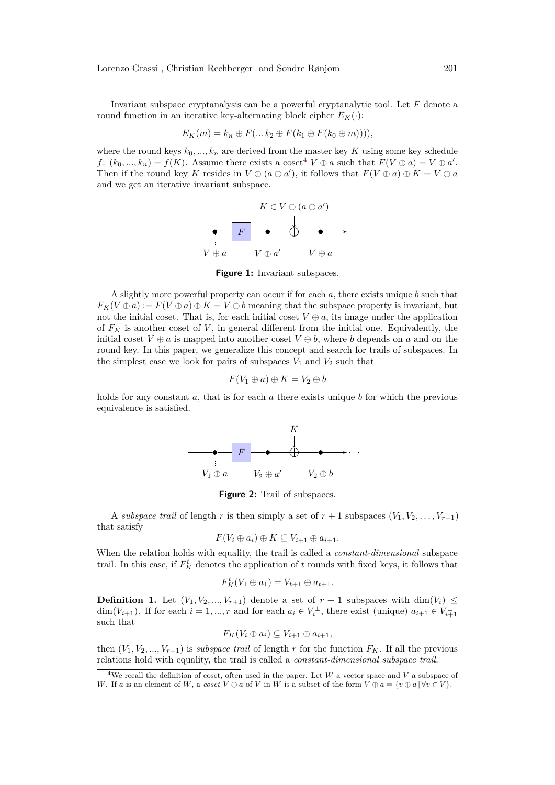Invariant subspace cryptanalysis can be a powerful cryptanalytic tool. Let *F* denote a round function in an iterative key-alternating block cipher  $E_K(\cdot)$ :

$$
E_K(m) = k_n \oplus F(... k_2 \oplus F(k_1 \oplus F(k_0 \oplus m)))),
$$

<span id="page-9-0"></span>where the round keys  $k_0, ..., k_n$  are derived from the master key *K* using some key schedule *f*:  $(k_0, ..., k_n) = f(K)$ . Assume there exists a coset<sup>[4](#page-9-2)</sup>  $V \oplus a$  such that  $F(V \oplus a) = V \oplus a'$ . Then if the round key *K* resides in  $V \oplus (a \oplus a')$ , it follows that  $F(V \oplus a) \oplus K = V \oplus a$ and we get an iterative invariant subspace.



**Figure 1:** Invariant subspaces.

A slightly more powerful property can occur if for each *a*, there exists unique *b* such that  $F_K(V \oplus a) := F(V \oplus a) \oplus K = V \oplus b$  meaning that the subspace property is invariant, but not the initial coset. That is, for each initial coset  $V \oplus a$ , its image under the application of  $F_K$  is another coset of  $V$ , in general different from the initial one. Equivalently, the initial coset  $V \oplus a$  is mapped into another coset  $V \oplus b$ , where *b* depends on *a* and on the round key. In this paper, we generalize this concept and search for trails of subspaces. In the simplest case we look for pairs of subspaces  $V_1$  and  $V_2$  such that

$$
F(V_1 \oplus a) \oplus K = V_2 \oplus b
$$

<span id="page-9-1"></span>holds for any constant *a*, that is for each *a* there exists unique *b* for which the previous equivalence is satisfied.



**Figure 2:** Trail of subspaces.

A *subspace trail* of length *r* is then simply a set of  $r + 1$  subspaces  $(V_1, V_2, \ldots, V_{r+1})$ that satisfy

$$
F(V_i \oplus a_i) \oplus K \subseteq V_{i+1} \oplus a_{i+1}.
$$

When the relation holds with equality, the trail is called a *constant-dimensional* subspace trail. In this case, if  $F_K^t$  denotes the application of  $t$  rounds with fixed keys, it follows that

$$
F_K^t(V_1 \oplus a_1) = V_{t+1} \oplus a_{t+1}.
$$

**Definition 1.** Let  $(V_1, V_2, ..., V_{r+1})$  denote a set of  $r + 1$  subspaces with dim $(V_i) \leq$ dim( $V_{i+1}$ ). If for each  $i = 1, ..., r$  and for each  $a_i \in V_i^{\perp}$ , there exist (unique)  $a_{i+1} \in V_{i+1}^{\perp}$ such that

$$
F_K(V_i\oplus a_i)\subseteq V_{i+1}\oplus a_{i+1},
$$

then  $(V_1, V_2, ..., V_{r+1})$  is *subspace trail* of length r for the function  $F_K$ . If all the previous relations hold with equality, the trail is called a *constant-dimensional subspace trail*.

<span id="page-9-2"></span><sup>&</sup>lt;sup>4</sup>We recall the definition of coset, often used in the paper. Let *W* a vector space and *V* a subspace of *W*. If *a* is an element of *W*, a *coset*  $V \oplus a$  of *V* in *W* is a subset of the form  $V \oplus a = \{v \oplus a \mid \forall v \in V\}$ .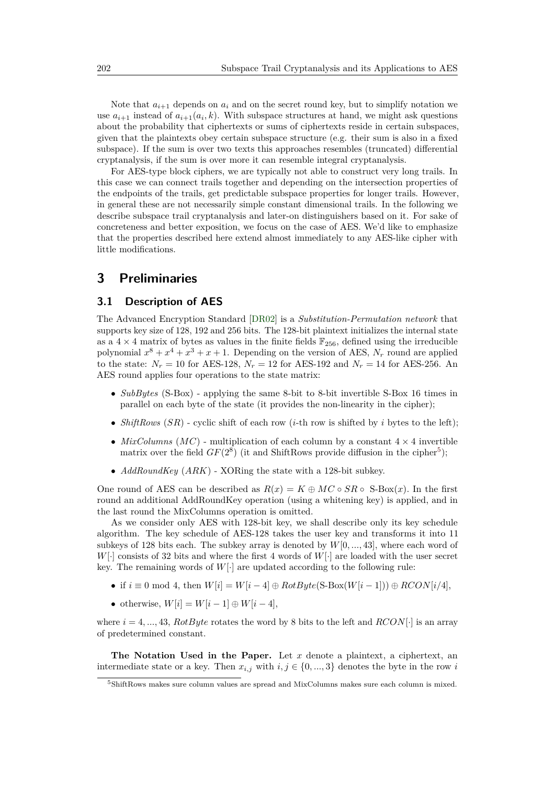Note that  $a_{i+1}$  depends on  $a_i$  and on the secret round key, but to simplify notation we use  $a_{i+1}$  instead of  $a_{i+1}(a_i, k)$ . With subspace structures at hand, we might ask questions about the probability that ciphertexts or sums of ciphertexts reside in certain subspaces, given that the plaintexts obey certain subspace structure (e.g. their sum is also in a fixed subspace). If the sum is over two texts this approaches resembles (truncated) differential cryptanalysis, if the sum is over more it can resemble integral cryptanalysis.

For AES-type block ciphers, we are typically not able to construct very long trails. In this case we can connect trails together and depending on the intersection properties of the endpoints of the trails, get predictable subspace properties for longer trails. However, in general these are not necessarily simple constant dimensional trails. In the following we describe subspace trail cryptanalysis and later-on distinguishers based on it. For sake of concreteness and better exposition, we focus on the case of AES. We'd like to emphasize that the properties described here extend almost immediately to any AES-like cipher with little modifications.

## <span id="page-10-0"></span>**3 Preliminaries**

#### **3.1 Description of AES**

The Advanced Encryption Standard [\[DR02\]](#page-31-1) is a *Substitution-Permutation network* that supports key size of 128, 192 and 256 bits. The 128-bit plaintext initializes the internal state as a  $4 \times 4$  matrix of bytes as values in the finite fields  $\mathbb{F}_{256}$ , defined using the irreducible polynomial  $x^8 + x^4 + x^3 + x + 1$ . Depending on the version of AES,  $N_r$  round are applied to the state:  $N_r = 10$  for AES-128,  $N_r = 12$  for AES-192 and  $N_r = 14$  for AES-256. An AES round applies four operations to the state matrix:

- *SubBytes* (S-Box) applying the same 8-bit to 8-bit invertible S-Box 16 times in parallel on each byte of the state (it provides the non-linearity in the cipher);
- *ShiftRows*  $(SR)$  cyclic shift of each row  $(i$ -th row is shifted by *i* bytes to the left);
- *MixColumns*  $(MC)$  multiplication of each column by a constant  $4 \times 4$  invertible matrix over the field  $GF(2^8)$  (it and ShiftRows provide diffusion in the cipher<sup>[5](#page-10-1)</sup>);
- *AddRoundKey* (*ARK*) XORing the state with a 128-bit subkey.

One round of AES can be described as  $R(x) = K \oplus MC \circ SR \circ S$ -Box(*x*). In the first round an additional AddRoundKey operation (using a whitening key) is applied, and in the last round the MixColumns operation is omitted.

As we consider only AES with 128-bit key, we shall describe only its key schedule algorithm. The key schedule of AES-128 takes the user key and transforms it into 11 subkeys of 128 bits each. The subkey array is denoted by *W*[0*, ...,* 43], where each word of *W*[·] consists of 32 bits and where the first 4 words of *W*[·] are loaded with the user secret key. The remaining words of *W*[·] are updated according to the following rule:

- if  $i \equiv 0 \mod 4$ , then  $W[i] = W[i-4] \oplus RotByte(S-Box(W[i-1])) \oplus RCON[i/4],$
- otherwise,  $W[i] = W[i-1] \oplus W[i-4],$

where  $i = 4, ..., 43$ , *RotByte* rotates the word by 8 bits to the left and *RCON*[·] is an array of predetermined constant.

**The Notation Used in the Paper.** Let *x* denote a plaintext, a ciphertext, an intermediate state or a key. Then  $x_{i,j}$  with  $i, j \in \{0, ..., 3\}$  denotes the byte in the row *i* 

<span id="page-10-1"></span> ${\rm ^5S}$  ShiftRows makes sure column values are spread and MixColumns makes sure each column is mixed.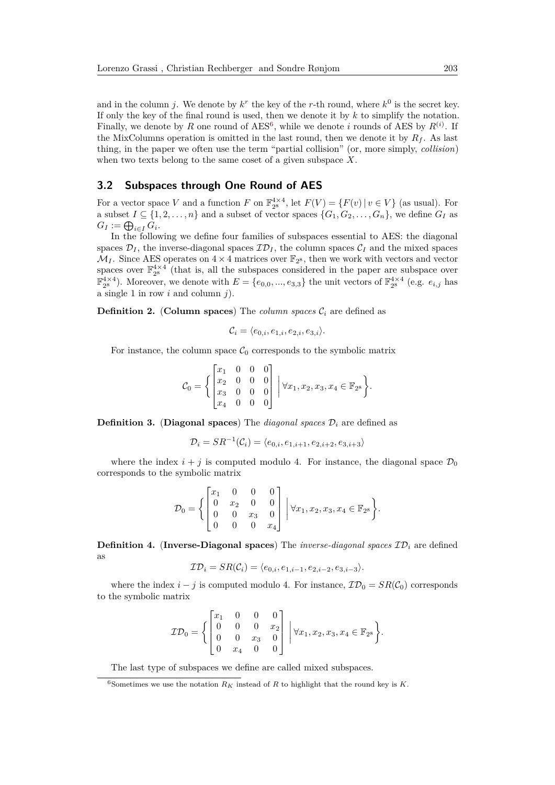and in the column *j*. We denote by  $k^r$  the key of the *r*-th round, where  $k^0$  is the secret key. If only the key of the final round is used, then we denote it by *k* to simplify the notation. Finally, we denote by R one round of  $AES^6$  $AES^6$ , while we denote *i* rounds of AES by  $R^{(i)}$ . If the MixColumns operation is omitted in the last round, then we denote it by  $R_f$ . As last thing, in the paper we often use the term "partial collision" (or, more simply, *collision*) when two texts belong to the same coset of a given subspace *X*.

#### <span id="page-11-1"></span>**3.2 Subspaces through One Round of AES**

For a vector space *V* and a function *F* on  $\mathbb{F}_{2^8}^{4\times4}$ , let  $F(V) = \{F(v) | v \in V\}$  (as usual). For a subset  $I \subseteq \{1, 2, \ldots, n\}$  and a subset of vector spaces  $\{G_1, G_2, \ldots, G_n\}$ , we define  $G_I$  as  $G_I := \bigoplus_{i \in I} G_i$ .

In the following we define four families of subspaces essential to AES: the diagonal spaces  $\mathcal{D}_I$ , the inverse-diagonal spaces  $\mathcal{ID}_I$ , the column spaces  $\mathcal{C}_I$  and the mixed spaces  $\mathcal{M}_I$ . Since AES operates on  $4 \times 4$  matrices over  $\mathbb{F}_{2^8}$ , then we work with vectors and vector spaces over  $\mathbb{F}_{2^8}^{4\times4}$  (that is, all the subspaces considered in the paper are subspace over  $\mathbb{F}_{2^8}^{4\times4}$ ). Moreover, we denote with  $E = \{e_{0,0}, ..., e_{3,3}\}\$ the unit vectors of  $\mathbb{F}_{2^8}^{4\times4}$  (e.g.  $e_{i,j}$  has a single 1 in row *i* and column *j*).

**Definition 2.** (**Column spaces**) The *column spaces*  $C_i$  are defined as

$$
\mathcal{C}_i = \langle e_{0,i}, e_{1,i}, e_{2,i}, e_{3,i} \rangle.
$$

For instance, the column space  $C_0$  corresponds to the symbolic matrix

$$
\mathcal{C}_0 = \left\{ \begin{bmatrix} x_1 & 0 & 0 & 0 \\ x_2 & 0 & 0 & 0 \\ x_3 & 0 & 0 & 0 \\ x_4 & 0 & 0 & 0 \end{bmatrix} \middle| \forall x_1, x_2, x_3, x_4 \in \mathbb{F}_{2^8} \right\}.
$$

**Definition 3.** (Diagonal spaces) The *diagonal spaces*  $\mathcal{D}_i$  are defined as

$$
\mathcal{D}_i = SR^{-1}(\mathcal{C}_i) = \langle e_{0,i}, e_{1,i+1}, e_{2,i+2}, e_{3,i+3} \rangle
$$

where the index  $i + j$  is computed modulo 4. For instance, the diagonal space  $\mathcal{D}_0$ corresponds to the symbolic matrix

$$
\mathcal{D}_0 = \left\{ \begin{bmatrix} x_1 & 0 & 0 & 0 \\ 0 & x_2 & 0 & 0 \\ 0 & 0 & x_3 & 0 \\ 0 & 0 & 0 & x_4 \end{bmatrix} \middle| \forall x_1, x_2, x_3, x_4 \in \mathbb{F}_{2^8} \right\}.
$$

**Definition 4.** (Inverse-Diagonal spaces) The *inverse-diagonal spaces*  $\mathcal{ID}_i$  are defined as

$$
\mathcal{ID}_i = SR(\mathcal{C}_i) = \langle e_{0,i}, e_{1,i-1}, e_{2,i-2}, e_{3,i-3} \rangle.
$$

where the index  $i - j$  is computed modulo 4. For instance,  $\mathcal{ID}_0 = SR(\mathcal{C}_0)$  corresponds to the symbolic matrix

$$
\mathcal{ID}_0 = \left\{ \begin{bmatrix} x_1 & 0 & 0 & 0 \\ 0 & 0 & 0 & x_2 \\ 0 & 0 & x_3 & 0 \\ 0 & x_4 & 0 & 0 \end{bmatrix} \middle| \forall x_1, x_2, x_3, x_4 \in \mathbb{F}_{2^8} \right\}.
$$

The last type of subspaces we define are called mixed subspaces.

<span id="page-11-0"></span><sup>&</sup>lt;sup>6</sup>Sometimes we use the notation  $R_K$  instead of  $R$  to highlight that the round key is  $K$ .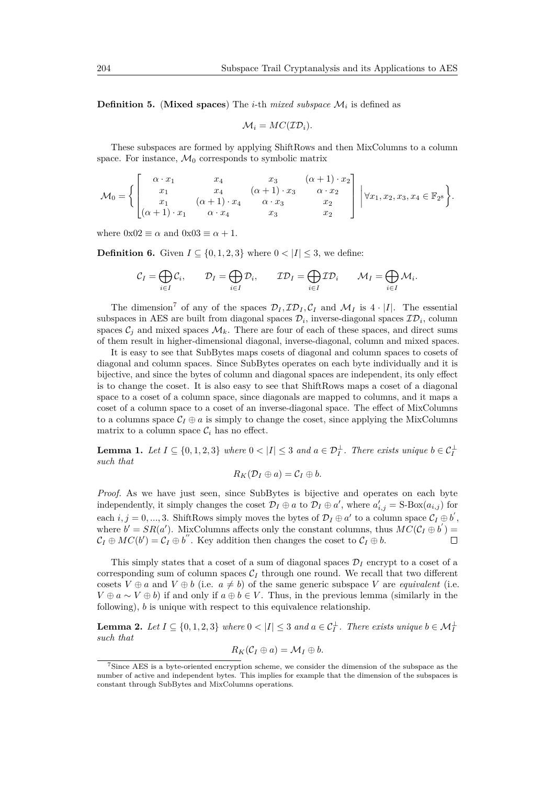<span id="page-12-1"></span>**Definition 5.** (**Mixed spaces**) The *i*-th *mixed subspace* M*<sup>i</sup>* is defined as

$$
\mathcal{M}_i = MC(\mathcal{ID}_i).
$$

These subspaces are formed by applying ShiftRows and then MixColumns to a column space. For instance,  $\mathcal{M}_0$  corresponds to symbolic matrix

$$
\mathcal{M}_0 = \left\{ \begin{bmatrix} \alpha \cdot x_1 & x_4 & x_3 & (\alpha + 1) \cdot x_2 \\ x_1 & x_4 & (\alpha + 1) \cdot x_3 & \alpha \cdot x_2 \\ x_1 & (\alpha + 1) \cdot x_4 & \alpha \cdot x_3 & x_2 \\ (\alpha + 1) \cdot x_1 & \alpha \cdot x_4 & x_3 & x_2 \end{bmatrix} \right. \Big| \forall x_1, x_2, x_3, x_4 \in \mathbb{F}_{2^8} \right\}.
$$

where  $0x02 \equiv \alpha$  and  $0x03 \equiv \alpha + 1$ .

**Definition 6.** Given  $I \subseteq \{0, 1, 2, 3\}$  where  $0 < |I| < 3$ , we define:

$$
\mathcal{C}_I = \bigoplus_{i \in I} \mathcal{C}_i, \qquad \mathcal{D}_I = \bigoplus_{i \in I} \mathcal{D}_i, \qquad \mathcal{ID}_I = \bigoplus_{i \in I} \mathcal{ID}_i \qquad \mathcal{M}_I = \bigoplus_{i \in I} \mathcal{M}_i.
$$

The dimension<sup>[7](#page-12-0)</sup> of any of the spaces  $\mathcal{D}_I$ ,  $\mathcal{ID}_I$ ,  $\mathcal{C}_I$  and  $\mathcal{M}_I$  is  $4 \cdot |I|$ . The essential subspaces in AES are built from diagonal spaces  $\mathcal{D}_i$ , inverse-diagonal spaces  $\mathcal{ID}_i$ , column spaces  $\mathcal{C}_j$  and mixed spaces  $\mathcal{M}_k$ . There are four of each of these spaces, and direct sums of them result in higher-dimensional diagonal, inverse-diagonal, column and mixed spaces.

It is easy to see that SubBytes maps cosets of diagonal and column spaces to cosets of diagonal and column spaces. Since SubBytes operates on each byte individually and it is bijective, and since the bytes of column and diagonal spaces are independent, its only effect is to change the coset. It is also easy to see that ShiftRows maps a coset of a diagonal space to a coset of a column space, since diagonals are mapped to columns, and it maps a coset of a column space to a coset of an inverse-diagonal space. The effect of MixColumns to a columns space  $C_I \oplus a$  is simply to change the coset, since applying the MixColumns matrix to a column space  $\mathcal{C}_i$  has no effect.

<span id="page-12-2"></span>**Lemma 1.** Let  $I \subseteq \{0, 1, 2, 3\}$  where  $0 < |I| \leq 3$  and  $a \in \mathcal{D}_I^{\perp}$ . There exists unique  $b \in \mathcal{C}_I^{\perp}$ *such that*

$$
R_K(\mathcal{D}_I \oplus a) = C_I \oplus b.
$$

*Proof.* As we have just seen, since SubBytes is bijective and operates on each byte independently, it simply changes the coset  $\mathcal{D}_I \oplus a$  to  $\mathcal{D}_I \oplus a'$ , where  $a'_{i,j} = S\text{-Box}(a_{i,j})$  for each  $i, j = 0, ..., 3$ . ShiftRows simply moves the bytes of  $\mathcal{D}_I \oplus a'$  to a column space  $\mathcal{C}_I \oplus b'$ , where  $b' = SR(a')$ . MixColumns affects only the constant columns, thus  $MC(C_I \oplus b') =$  $\mathcal{C}_I \oplus MC(b') = \mathcal{C}_I \oplus b''$ . Key addition then changes the coset to  $\mathcal{C}_I \oplus b$ .  $\Box$ 

This simply states that a coset of a sum of diagonal spaces  $\mathcal{D}_I$  encrypt to a coset of a corresponding sum of column spaces  $C_I$  through one round. We recall that two different cosets  $V \oplus a$  and  $V \oplus b$  (i.e.  $a \neq b$ ) of the same generic subspace V are *equivalent* (i.e.  $V \oplus a \sim V \oplus b$ ) if and only if  $a \oplus b \in V$ . Thus, in the previous lemma (similarly in the following), *b* is unique with respect to this equivalence relationship.

<span id="page-12-3"></span>**Lemma 2.** Let  $I \subseteq \{0, 1, 2, 3\}$  where  $0 < |I| \leq 3$  and  $a \in C_I^{\perp}$ . There exists unique  $b \in \mathcal{M}_I^{\perp}$ *such that*

$$
R_K(\mathcal{C}_I \oplus a) = \mathcal{M}_I \oplus b.
$$

<span id="page-12-0"></span><sup>7</sup>Since AES is a byte-oriented encryption scheme, we consider the dimension of the subspace as the number of active and independent bytes. This implies for example that the dimension of the subspaces is constant through SubBytes and MixColumns operations.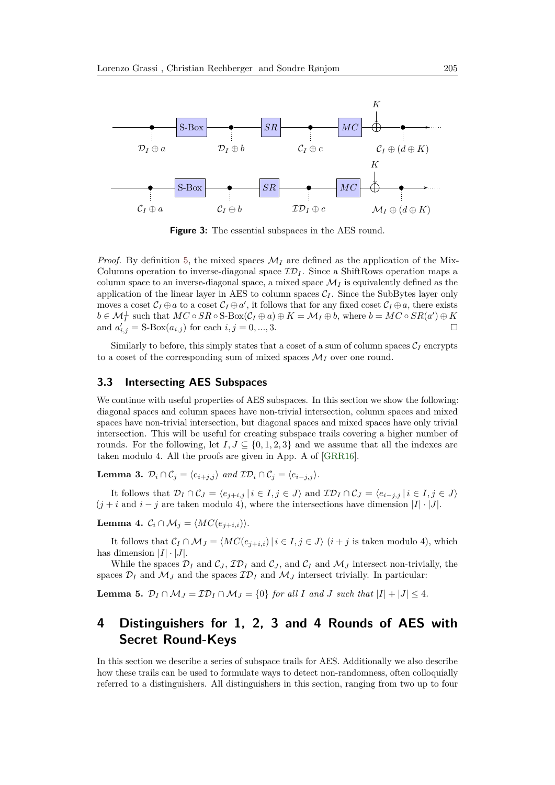

**Figure 3:** The essential subspaces in the AES round.

*Proof.* By definition [5,](#page-12-1) the mixed spaces  $\mathcal{M}_I$  are defined as the application of the Mix-Columns operation to inverse-diagonal space  $\mathcal{ID}_I$ . Since a ShiftRows operation maps a column space to an inverse-diagonal space, a mixed space  $\mathcal{M}_I$  is equivalently defined as the application of the linear layer in AES to column spaces  $C_I$ . Since the SubBytes layer only moves a coset  $C_I \oplus a$  to a coset  $C_I \oplus a'$ , it follows that for any fixed coset  $C_I \oplus a$ , there exists  $b \in \mathcal{M}_I^{\perp}$  such that  $MC \circ SR \circ \text{Box}(\mathcal{C}_I \oplus a) \oplus K = \mathcal{M}_I \oplus b$ , where  $b = MC \circ SR(a') \oplus K$ and  $a'_{i,j} = S\text{-Box}(a_{i,j})$  for each  $i, j = 0, ..., 3$ . П

Similarly to before, this simply states that a coset of a sum of column spaces  $C_I$  encrypts to a coset of the corresponding sum of mixed spaces  $\mathcal{M}_I$  over one round.

### <span id="page-13-0"></span>**3.3 Intersecting AES Subspaces**

We continue with useful properties of AES subspaces. In this section we show the following: diagonal spaces and column spaces have non-trivial intersection, column spaces and mixed spaces have non-trivial intersection, but diagonal spaces and mixed spaces have only trivial intersection. This will be useful for creating subspace trails covering a higher number of rounds. For the following, let  $I, J \subseteq \{0, 1, 2, 3\}$  and we assume that all the indexes are taken modulo 4. All the proofs are given in App. A of [\[GRR16\]](#page-32-2).

**Lemma 3.**  $\mathcal{D}_i \cap \mathcal{C}_j = \langle e_{i+j} \rangle$  and  $\mathcal{ID}_i \cap \mathcal{C}_j = \langle e_{i-j} \rangle$ .

It follows that  $\mathcal{D}_I \cap \mathcal{C}_J = \langle e_{j+i,j} | i \in I, j \in J \rangle$  and  $\mathcal{ID}_I \cap \mathcal{C}_J = \langle e_{i-j,j} | i \in I, j \in J \rangle$  $(j + i$  and  $i - j$  are taken modulo 4), where the intersections have dimension  $|I| \cdot |J|$ .

**Lemma 4.**  $C_i \cap M_j = \langle MC(e_{j+i,i}) \rangle$ .

It follows that  $\mathcal{C}_I \cap \mathcal{M}_J = \langle MC(e_{i+i,j}) | i \in I, j \in J \rangle$  (*i* + *j* is taken modulo 4), which has dimension  $|I| \cdot |J|$ .

While the spaces  $\mathcal{D}_I$  and  $\mathcal{C}_J$ ,  $\mathcal{ID}_I$  and  $\mathcal{C}_J$ , and  $\mathcal{C}_I$  and  $\mathcal{M}_J$  intersect non-trivially, the spaces  $\mathcal{D}_I$  and  $\mathcal{M}_J$  and the spaces  $\mathcal{ID}_I$  and  $\mathcal{M}_J$  intersect trivially. In particular:

<span id="page-13-2"></span>**Lemma 5.**  $\mathcal{D}_I \cap \mathcal{M}_J = \mathcal{ID}_I \cap \mathcal{M}_J = \{0\}$  *for all I and J such that*  $|I| + |J| \leq 4$ *.* 

## <span id="page-13-1"></span>**4 Distinguishers for 1, 2, 3 and 4 Rounds of AES with Secret Round-Keys**

In this section we describe a series of subspace trails for AES. Additionally we also describe how these trails can be used to formulate ways to detect non-randomness, often colloquially referred to a distinguishers. All distinguishers in this section, ranging from two up to four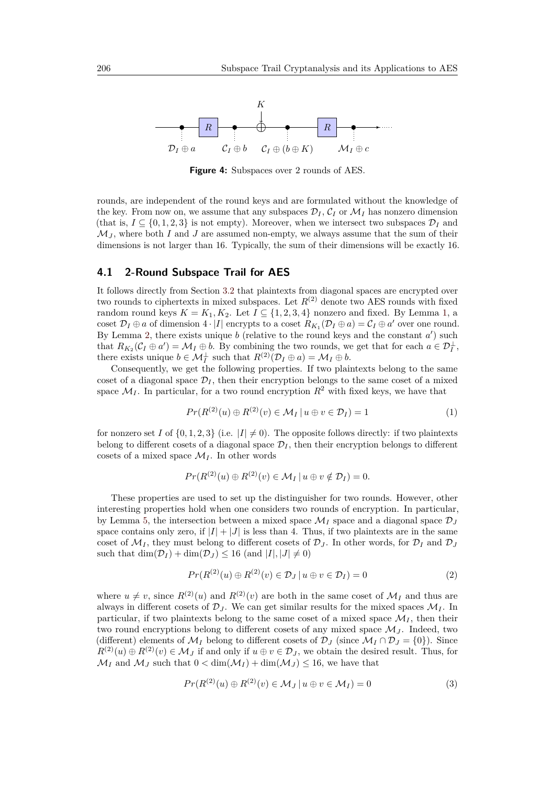

**Figure 4:** Subspaces over 2 rounds of AES.

rounds, are independent of the round keys and are formulated without the knowledge of the key. From now on, we assume that any subspaces  $\mathcal{D}_I, \mathcal{C}_I$  or  $\mathcal{M}_I$  has nonzero dimension (that is,  $I \subseteq \{0, 1, 2, 3\}$  is not empty). Moreover, when we intersect two subspaces  $\mathcal{D}_I$  and  $\mathcal{M}_J$ , where both *I* and *J* are assumed non-empty, we always assume that the sum of their dimensions is not larger than 16. Typically, the sum of their dimensions will be exactly 16.

#### <span id="page-14-0"></span>**4.1 2-Round Subspace Trail for AES**

It follows directly from Section [3.2](#page-11-1) that plaintexts from diagonal spaces are encrypted over two rounds to ciphertexts in mixed subspaces. Let  $R^{(2)}$  denote two AES rounds with fixed random round keys  $K = K_1, K_2$  $K = K_1, K_2$  $K = K_1, K_2$ . Let  $I \subseteq \{1, 2, 3, 4\}$  nonzero and fixed. By Lemma 1, a coset  $\mathcal{D}_I \oplus a$  of dimension  $4 \cdot |I|$  encrypts to a coset  $R_{K_1}(\mathcal{D}_I \oplus a) = \mathcal{C}_I \oplus a'$  over one round. By Lemma [2,](#page-12-3) there exists unique  $b$  (relative to the round keys and the constant  $a'$ ) such that  $R_{K_2}(\mathcal{C}_I \oplus a') = \mathcal{M}_I \oplus b$ . By combining the two rounds, we get that for each  $a \in \mathcal{D}_I^{\perp}$ , there exists unique  $b \in \mathcal{M}_I^{\perp}$  such that  $R^{(2)}(\mathcal{D}_I \oplus a) = \mathcal{M}_I \oplus b$ .

Consequently, we get the following properties. If two plaintexts belong to the same coset of a diagonal space  $\mathcal{D}_I$ , then their encryption belongs to the same coset of a mixed space  $\mathcal{M}_I$ . In particular, for a two round encryption  $R^2$  with fixed keys, we have that

<span id="page-14-3"></span>
$$
Pr(R^{(2)}(u) \oplus R^{(2)}(v) \in \mathcal{M}_I \, | \, u \oplus v \in \mathcal{D}_I) = 1 \tag{1}
$$

for nonzero set *I* of  $\{0, 1, 2, 3\}$  (i.e.  $|I| \neq 0$ ). The opposite follows directly: if two plaintexts belong to different cosets of a diagonal space  $\mathcal{D}_I$ , then their encryption belongs to different cosets of a mixed space  $\mathcal{M}_I$ . In other words

$$
Pr(R^{(2)}(u) \oplus R^{(2)}(v) \in \mathcal{M}_I \, | \, u \oplus v \notin \mathcal{D}_I) = 0.
$$

These properties are used to set up the distinguisher for two rounds. However, other interesting properties hold when one considers two rounds of encryption. In particular, by Lemma [5,](#page-13-2) the intersection between a mixed space  $\mathcal{M}_I$  space and a diagonal space  $\mathcal{D}_J$ space contains only zero, if  $|I| + |J|$  is less than 4. Thus, if two plaintexts are in the same coset of  $\mathcal{M}_I$ , they must belong to different cosets of  $\mathcal{D}_J$ . In other words, for  $\mathcal{D}_I$  and  $\mathcal{D}_J$ such that  $\dim(\mathcal{D}_I) + \dim(\mathcal{D}_J) \leq 16$  (and  $|I|, |J| \neq 0$ )

<span id="page-14-1"></span>
$$
Pr(R^{(2)}(u) \oplus R^{(2)}(v) \in \mathcal{D}_J \mid u \oplus v \in \mathcal{D}_I) = 0
$$
\n<sup>(2)</sup>

where  $u \neq v$ , since  $R^{(2)}(u)$  and  $R^{(2)}(v)$  are both in the same coset of  $\mathcal{M}_I$  and thus are always in different cosets of  $\mathcal{D}_J$ . We can get similar results for the mixed spaces  $\mathcal{M}_I$ . In particular, if two plaintexts belong to the same coset of a mixed space  $\mathcal{M}_I$ , then their two round encryptions belong to different cosets of any mixed space  $\mathcal{M}_J$ . Indeed, two (different) elements of  $\mathcal{M}_I$  belong to different cosets of  $\mathcal{D}_J$  (since  $\mathcal{M}_I \cap \mathcal{D}_J = \{0\}$ ). Since  $R^{(2)}(u) \oplus R^{(2)}(v) \in \mathcal{M}_J$  if and only if  $u \oplus v \in \mathcal{D}_J$ , we obtain the desired result. Thus, for  $\mathcal{M}_I$  and  $\mathcal{M}_J$  such that  $0 < \dim(\mathcal{M}_I) + \dim(\mathcal{M}_J) \leq 16$ , we have that

<span id="page-14-2"></span>
$$
Pr(R^{(2)}(u) \oplus R^{(2)}(v) \in M_J \, | \, u \oplus v \in M_I) = 0 \tag{3}
$$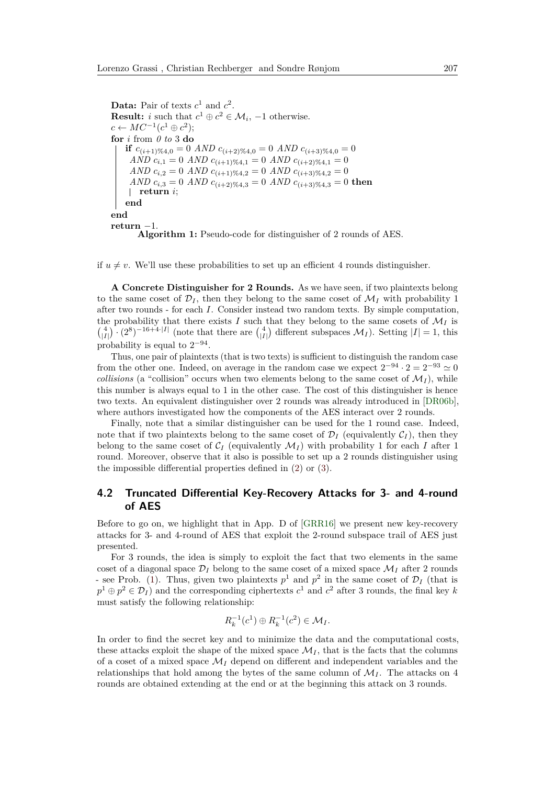**Data:** Pair of texts  $c^1$  and  $c^2$ . **Result:** *i* such that  $c^1 \oplus c^2 \in \mathcal{M}_i$ , -1 otherwise.  $c \leftarrow MC^{-1}(c^1 \oplus c^2);$ **for** *i* from *0 to* 3 **do if**  $c_{(i+1)\%4,0} = 0$  *AND*  $c_{(i+2)\%4,0} = 0$  *AND*  $c_{(i+3)\%4,0} = 0$ *AND*  $c_{i,1} = 0$  *AND*  $c_{(i+1)\%4,1} = 0$  *AND*  $c_{(i+2)\%4,1} = 0$ *AND*  $c_{i,2} = 0$  *AND*  $c_{(i+1)\%4,2} = 0$  *AND*  $c_{(i+3)\%4,2} = 0$  $AND \ c_{i,3} = 0 \ AND \ c_{(i+2)\%4,3} = 0 \ AND \ c_{(i+3)\%4,3} = 0 \ then$ **return** *i*; **end end return** −1. **Algorithm 1:** Pseudo-code for distinguisher of 2 rounds of AES.

<span id="page-15-0"></span>if  $u \neq v$ . We'll use these probabilities to set up an efficient 4 rounds distinguisher.

**A Concrete Distinguisher for 2 Rounds.** As we have seen, if two plaintexts belong to the same coset of  $\mathcal{D}_I$ , then they belong to the same coset of  $\mathcal{M}_I$  with probability 1 after two rounds - for each *I*. Consider instead two random texts. By simple computation, the probability that there exists *I* such that they belong to the same cosets of  $\mathcal{M}_I$  is  $\binom{4}{|I|} \cdot (2^8)^{-16+4 \cdot |I|}$  (note that there are  $\binom{4}{|I|}$  different subspaces  $\mathcal{M}_I$ ). Setting  $|I| = 1$ , this probability is equal to  $2^{-94}$ .

Thus, one pair of plaintexts (that is two texts) is sufficient to distinguish the random case from the other one. Indeed, on average in the random case we expect  $2^{-94} \cdot 2 = 2^{-93} \approx 0$ *collisions* (a "collision" occurs when two elements belong to the same coset of  $\mathcal{M}_I$ ), while this number is always equal to 1 in the other case. The cost of this distinguisher is hence two texts. An equivalent distinguisher over 2 rounds was already introduced in [\[DR06b\]](#page-31-3), where authors investigated how the components of the AES interact over 2 rounds.

Finally, note that a similar distinguisher can be used for the 1 round case. Indeed, note that if two plaintexts belong to the same coset of  $\mathcal{D}_I$  (equivalently  $\mathcal{C}_I$ ), then they belong to the same coset of  $\mathcal{C}_I$  (equivalently  $\mathcal{M}_I$ ) with probability 1 for each *I* after 1 round. Moreover, observe that it also is possible to set up a 2 rounds distinguisher using the impossible differential properties defined in [\(2\)](#page-14-1) or [\(3\)](#page-14-2).

### **4.2 Truncated Differential Key-Recovery Attacks for 3- and 4-round of AES**

Before to go on, we highlight that in App. D of [\[GRR16\]](#page-32-2) we present new key-recovery attacks for 3- and 4-round of AES that exploit the 2-round subspace trail of AES just presented.

For 3 rounds, the idea is simply to exploit the fact that two elements in the same coset of a diagonal space  $\mathcal{D}_I$  belong to the same coset of a mixed space  $\mathcal{M}_I$  after 2 rounds - see Prob. [\(1\)](#page-14-3). Thus, given two plaintexts  $p^1$  and  $p^2$  in the same coset of  $\mathcal{D}_I$  (that is  $p^1 \oplus p^2 \in \mathcal{D}_I$  and the corresponding ciphertexts  $c^1$  and  $c^2$  after 3 rounds, the final key *k* must satisfy the following relationship:

$$
R_k^{-1}(c^1) \oplus R_k^{-1}(c^2) \in \mathcal{M}_I.
$$

In order to find the secret key and to minimize the data and the computational costs, these attacks exploit the shape of the mixed space  $\mathcal{M}_I$ , that is the facts that the columns of a coset of a mixed space  $\mathcal{M}_I$  depend on different and independent variables and the relationships that hold among the bytes of the same column of  $\mathcal{M}_I$ . The attacks on 4 rounds are obtained extending at the end or at the beginning this attack on 3 rounds.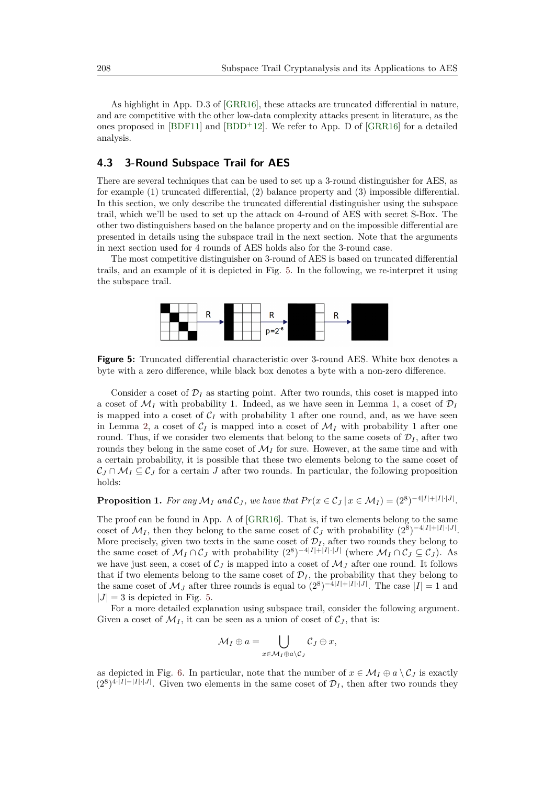As highlight in App. D.3 of [\[GRR16\]](#page-32-2), these attacks are truncated differential in nature, and are competitive with the other low-data complexity attacks present in literature, as the ones proposed in [\[BDF11\]](#page-30-4) and [\[BDD](#page-30-3)<sup>+</sup>12]. We refer to App. D of [\[GRR16\]](#page-32-2) for a detailed analysis.

### <span id="page-16-0"></span>**4.3 3-Round Subspace Trail for AES**

There are several techniques that can be used to set up a 3-round distinguisher for AES, as for example (1) truncated differential, (2) balance property and (3) impossible differential. In this section, we only describe the truncated differential distinguisher using the subspace trail, which we'll be used to set up the attack on 4-round of AES with secret S-Box. The other two distinguishers based on the balance property and on the impossible differential are presented in details using the subspace trail in the next section. Note that the arguments in next section used for 4 rounds of AES holds also for the 3-round case.

<span id="page-16-1"></span>The most competitive distinguisher on 3-round of AES is based on truncated differential trails, and an example of it is depicted in Fig. [5.](#page-16-1) In the following, we re-interpret it using the subspace trail.



**Figure 5:** Truncated differential characteristic over 3-round AES. White box denotes a byte with a zero difference, while black box denotes a byte with a non-zero difference.

Consider a coset of  $\mathcal{D}_I$  as starting point. After two rounds, this coset is mapped into a coset of  $\mathcal{M}_I$  with probability 1. Indeed, as we have seen in Lemma [1,](#page-12-2) a coset of  $\mathcal{D}_I$ is mapped into a coset of  $C_I$  with probability 1 after one round, and, as we have seen in Lemma [2,](#page-12-3) a coset of  $C_I$  is mapped into a coset of  $\mathcal{M}_I$  with probability 1 after one round. Thus, if we consider two elements that belong to the same cosets of  $\mathcal{D}_I$ , after two rounds they belong in the same coset of  $\mathcal{M}_I$  for sure. However, at the same time and with a certain probability, it is possible that these two elements belong to the same coset of  $C_J \cap \mathcal{M}_I \subseteq \mathcal{C}_J$  for a certain *J* after two rounds. In particular, the following proposition holds:

**Proposition 1.** For any  $\mathcal{M}_I$  and  $\mathcal{C}_J$ , we have that  $Pr(x \in \mathcal{C}_J | x \in \mathcal{M}_I) = (2^8)^{-4|I|+|I|\cdot|J|}$ .

The proof can be found in App. A of [\[GRR16\]](#page-32-2). That is, if two elements belong to the same coset of  $\mathcal{M}_I$ , then they belong to the same coset of  $\mathcal{C}_J$  with probability  $(2^8)^{-4|I|+|I|\cdot|J|}$ . More precisely, given two texts in the same coset of  $\mathcal{D}_I$ , after two rounds they belong to the same coset of  $\mathcal{M}_I \cap \mathcal{C}_J$  with probability  $(2^8)^{-4|I|+|I|\cdot|J|}$  (where  $\mathcal{M}_I \cap \mathcal{C}_J \subseteq \mathcal{C}_J$ ). As we have just seen, a coset of  $\mathcal{C}_J$  is mapped into a coset of  $\mathcal{M}_J$  after one round. It follows that if two elements belong to the same coset of  $\mathcal{D}_I$ , the probability that they belong to the same coset of  $\mathcal{M}_J$  after three rounds is equal to  $(2^8)^{-4|I|+|I|\cdot|J|}$ . The case  $|I|=1$  and  $|J| = 3$  is depicted in Fig. [5.](#page-16-1)

For a more detailed explanation using subspace trail, consider the following argument. Given a coset of  $M_I$ , it can be seen as a union of coset of  $C_J$ , that is:

$$
\mathcal{M}_I \oplus a = \bigcup_{x \in \mathcal{M}_I \oplus a \setminus \mathcal{C}_J} \mathcal{C}_J \oplus x,
$$

as depicted in Fig. [6.](#page-17-0) In particular, note that the number of  $x \in M_I \oplus a \setminus C_J$  is exactly  $(2^8)^{4\cdot|I|-|I|\cdot|J|}$ . Given two elements in the same coset of  $\mathcal{D}_I$ , then after two rounds they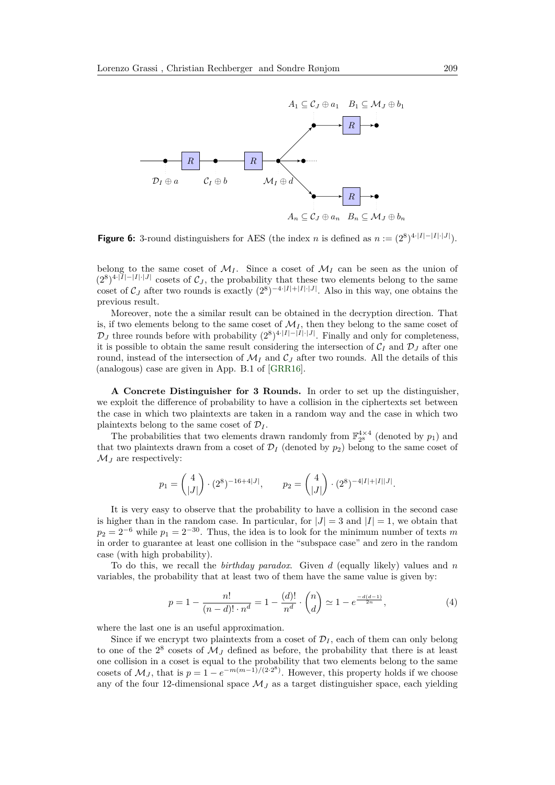<span id="page-17-0"></span>

**Figure 6:** 3-round distinguishers for AES (the index *n* is defined as  $n := (2^8)^{4 \cdot |I| - |I| \cdot |J|}$ ).

belong to the same coset of  $M_I$ . Since a coset of  $M_I$  can be seen as the union of  $(2^8)^{4\cdot|I|-|I|\cdot|J|}$  cosets of  $\mathcal{C}_J$ , the probability that these two elements belong to the same coset of  $\mathcal{C}_J$  after two rounds is exactly  $(2^8)^{-4\cdot|I|+|I|\cdot|J|}$ . Also in this way, one obtains the previous result.

Moreover, note the a similar result can be obtained in the decryption direction. That is, if two elements belong to the same coset of  $\mathcal{M}_I$ , then they belong to the same coset of  $\mathcal{D}_J$  three rounds before with probability  $(2^8)^{4 \cdot |I|-|I|\cdot |J|}$ . Finally and only for completeness, it is possible to obtain the same result considering the intersection of  $C_I$  and  $\mathcal{D}_J$  after one round, instead of the intersection of  $\mathcal{M}_I$  and  $\mathcal{C}_J$  after two rounds. All the details of this (analogous) case are given in App. B.1 of [\[GRR16\]](#page-32-2).

**A Concrete Distinguisher for 3 Rounds.** In order to set up the distinguisher, we exploit the difference of probability to have a collision in the ciphertexts set between the case in which two plaintexts are taken in a random way and the case in which two plaintexts belong to the same coset of  $\mathcal{D}_I$ .

The probabilities that two elements drawn randomly from  $\mathbb{F}_{2^8}^{4\times4}$  (denoted by  $p_1$ ) and that two plaintexts drawn from a coset of  $\mathcal{D}_I$  (denoted by  $p_2$ ) belong to the same coset of  $\mathcal{M}_J$  are respectively:

$$
p_1 = \binom{4}{|J|} \cdot (2^8)^{-16+4|J|}, \qquad p_2 = \binom{4}{|J|} \cdot (2^8)^{-4|I|+|I||J|}.
$$

It is very easy to observe that the probability to have a collision in the second case is higher than in the random case. In particular, for  $|J| = 3$  and  $|I| = 1$ , we obtain that  $p_2 = 2^{-6}$  while  $p_1 = 2^{-30}$ . Thus, the idea is to look for the minimum number of texts *m* in order to guarantee at least one collision in the "subspace case" and zero in the random case (with high probability).

To do this, we recall the *birthday paradox*. Given *d* (equally likely) values and *n* variables, the probability that at least two of them have the same value is given by:

$$
p = 1 - \frac{n!}{(n-d)! \cdot n^d} = 1 - \frac{(d)!}{n^d} \cdot \binom{n}{d} \simeq 1 - e^{\frac{-d(d-1)}{2n}},\tag{4}
$$

where the last one is an useful approximation.

Since if we encrypt two plaintexts from a coset of  $\mathcal{D}_I$ , each of them can only belong to one of the  $2^8$  cosets of  $\mathcal{M}_J$  defined as before, the probability that there is at least one collision in a coset is equal to the probability that two elements belong to the same cosets of  $\mathcal{M}_J$ , that is  $p = 1 - e^{-m(m-1)/(2 \cdot 2^8)}$ . However, this property holds if we choose any of the four 12-dimensional space  $\mathcal{M}_J$  as a target distinguisher space, each yielding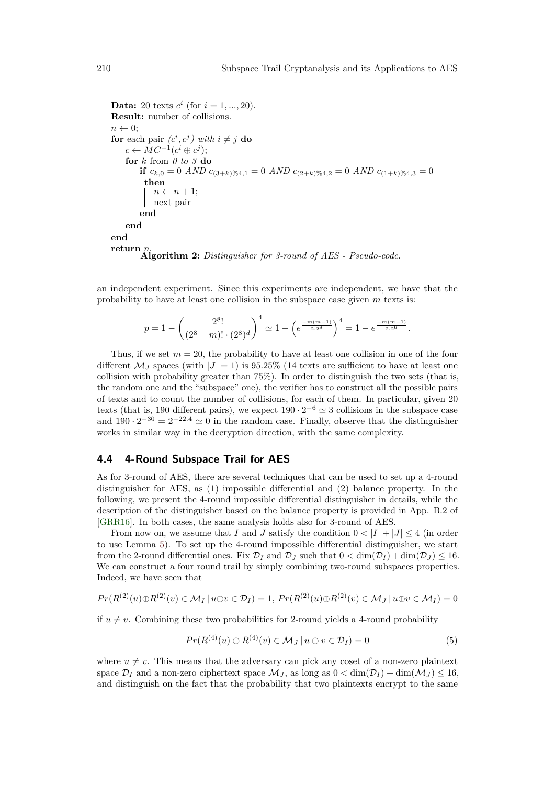```
Data: 20 texts c^i (for i = 1, ..., 20).
Result: number of collisions.
n \leftarrow 0;
for each pair (c^i, c^j) with i \neq j do
    c \leftarrow MC^{-1}(c^i \oplus c^j);for k from 0 to 3 do
        if c_{k,0} = 0 AND c_{(3+k)} \ll_{4,1} = 0 AND c_{(2+k)} \ll_{4,2} = 0 AND c_{(1+k)} \ll_{4,3} = 0then
           n \leftarrow n + 1;next pair
        end
   end
end
return n.
Algorithm 2: Distinguisher for 3-round of AES - Pseudo-code.
```
an independent experiment. Since this experiments are independent, we have that the probability to have at least one collision in the subspace case given *m* texts is:

$$
p = 1 - \left(\frac{2^8!}{(2^8 - m)! \cdot (2^8)^d}\right)^4 \simeq 1 - \left(e^{\frac{-m(m-1)}{2 \cdot 2^8}}\right)^4 = 1 - e^{\frac{-m(m-1)}{2 \cdot 2^6}}.
$$

Thus, if we set  $m = 20$ , the probability to have at least one collision in one of the four different  $\mathcal{M}_J$  spaces (with  $|J|=1$ ) is 95.25% (14 texts are sufficient to have at least one collision with probability greater than 75%). In order to distinguish the two sets (that is, the random one and the "subspace" one), the verifier has to construct all the possible pairs of texts and to count the number of collisions, for each of them. In particular, given 20 texts (that is, 190 different pairs), we expect  $190 \cdot 2^{-6} \approx 3$  collisions in the subspace case and  $190 \cdot 2^{-30} = 2^{-22.4} \approx 0$  in the random case. Finally, observe that the distinguisher works in similar way in the decryption direction, with the same complexity.

#### <span id="page-18-0"></span>**4.4 4-Round Subspace Trail for AES**

As for 3-round of AES, there are several techniques that can be used to set up a 4-round distinguisher for AES, as (1) impossible differential and (2) balance property. In the following, we present the 4-round impossible differential distinguisher in details, while the description of the distinguisher based on the balance property is provided in App. B.2 of [\[GRR16\]](#page-32-2). In both cases, the same analysis holds also for 3-round of AES.

From now on, we assume that *I* and *J* satisfy the condition  $0 < |I| + |J| \le 4$  (in order to use Lemma [5\)](#page-13-2). To set up the 4-round impossible differential distinguisher, we start from the 2-round differential ones. Fix  $\mathcal{D}_I$  and  $\mathcal{D}_J$  such that  $0 < \dim(\mathcal{D}_I) + \dim(\mathcal{D}_J) \le 16$ . We can construct a four round trail by simply combining two-round subspaces properties. Indeed, we have seen that

$$
Pr(R^{(2)}(u)\oplus R^{(2)}(v) \in M_I \mid u \oplus v \in \mathcal{D}_I) = 1, Pr(R^{(2)}(u)\oplus R^{(2)}(v) \in M_J \mid u \oplus v \in M_I) = 0
$$

if  $u \neq v$ . Combining these two probabilities for 2-round yields a 4-round probability

$$
Pr(R^{(4)}(u) \oplus R^{(4)}(v) \in M_J | u \oplus v \in \mathcal{D}_I) = 0
$$
\n(5)

where  $u \neq v$ . This means that the adversary can pick any coset of a non-zero plaintext space  $\mathcal{D}_I$  and a non-zero ciphertext space  $\mathcal{M}_J$ , as long as  $0 < \dim(\mathcal{D}_I) + \dim(\mathcal{M}_J) \le 16$ , and distinguish on the fact that the probability that two plaintexts encrypt to the same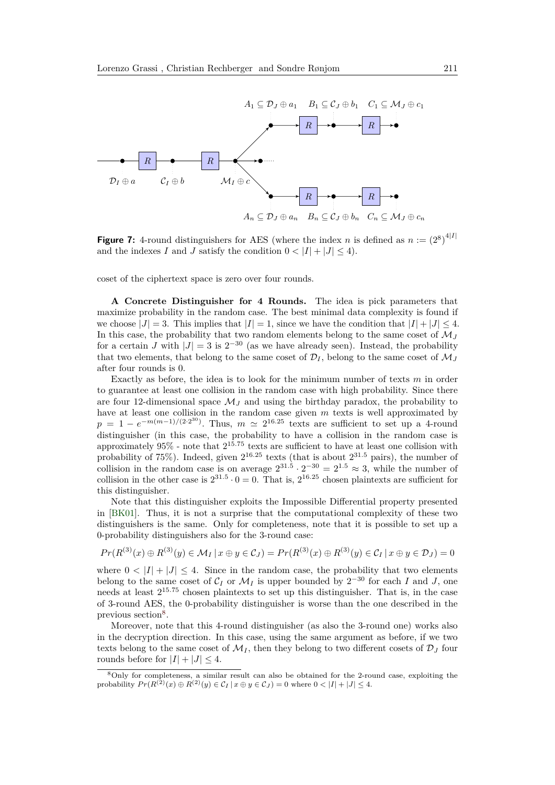

**Figure 7:** 4-round distinguishers for AES (where the index *n* is defined as  $n := (2^8)^{4|I|}$ and the indexes *I* and *J* satisfy the condition  $0 < |I| + |J| < 4$ .

coset of the ciphertext space is zero over four rounds.

**A Concrete Distinguisher for 4 Rounds.** The idea is pick parameters that maximize probability in the random case. The best minimal data complexity is found if we choose  $|J| = 3$ . This implies that  $|I| = 1$ , since we have the condition that  $|I| + |J| \le 4$ . In this case, the probability that two random elements belong to the same coset of  $\mathcal{M}_I$ for a certain *J* with  $|J| = 3$  is  $2^{-30}$  (as we have already seen). Instead, the probability that two elements, that belong to the same coset of  $\mathcal{D}_I$ , belong to the same coset of  $\mathcal{M}_J$ after four rounds is 0.

Exactly as before, the idea is to look for the minimum number of texts *m* in order to guarantee at least one collision in the random case with high probability. Since there are four 12-dimensional space  $\mathcal{M}_J$  and using the birthday paradox, the probability to have at least one collision in the random case given *m* texts is well approximated by  $p = 1 - e^{-m(m-1)/(2 \cdot 2^{30})}$ . Thus,  $m \approx 2^{16.25}$  texts are sufficient to set up a 4-round distinguisher (in this case, the probability to have a collision in the random case is approximately 95% - note that 2 <sup>15</sup>*.*<sup>75</sup> texts are sufficient to have at least one collision with probability of 75%). Indeed, given  $2^{16.25}$  texts (that is about  $2^{31.5}$  pairs), the number of collision in the random case is on average  $2^{31.5} \cdot 2^{-30} = 2^{1.5} \approx 3$ , while the number of collision in the other case is  $2^{31.5} \cdot 0 = 0$ . That is,  $2^{16.25}$  chosen plaintexts are sufficient for this distinguisher.

Note that this distinguisher exploits the Impossible Differential property presented in [\[BK01\]](#page-30-1). Thus, it is not a surprise that the computational complexity of these two distinguishers is the same. Only for completeness, note that it is possible to set up a 0-probability distinguishers also for the 3-round case:

$$
Pr(R^{(3)}(x) \oplus R^{(3)}(y) \in \mathcal{M}_I \, | \, x \oplus y \in \mathcal{C}_J) = Pr(R^{(3)}(x) \oplus R^{(3)}(y) \in \mathcal{C}_I \, | \, x \oplus y \in \mathcal{D}_J) = 0
$$

where  $0 < |I| + |J| \leq 4$ . Since in the random case, the probability that two elements belong to the same coset of  $C_I$  or  $\mathcal{M}_I$  is upper bounded by  $2^{-30}$  for each *I* and *J*, one needs at least 2 <sup>15</sup>*.*<sup>75</sup> chosen plaintexts to set up this distinguisher. That is, in the case of 3-round AES, the 0-probability distinguisher is worse than the one described in the previous section<sup>[8](#page-19-0)</sup>.

Moreover, note that this 4-round distinguisher (as also the 3-round one) works also in the decryption direction. In this case, using the same argument as before, if we two texts belong to the same coset of  $\mathcal{M}_I$ , then they belong to two different cosets of  $\mathcal{D}_J$  four rounds before for  $|I| + |J| < 4$ .

<span id="page-19-0"></span><sup>8</sup>Only for completeness, a similar result can also be obtained for the 2-round case, exploiting the probability  $Pr(R^{(2)}(x) \oplus R^{(2)}(y) \in C_I | x \oplus y \in C_J) = 0$  where  $0 < |I| + |J| \leq 4$ .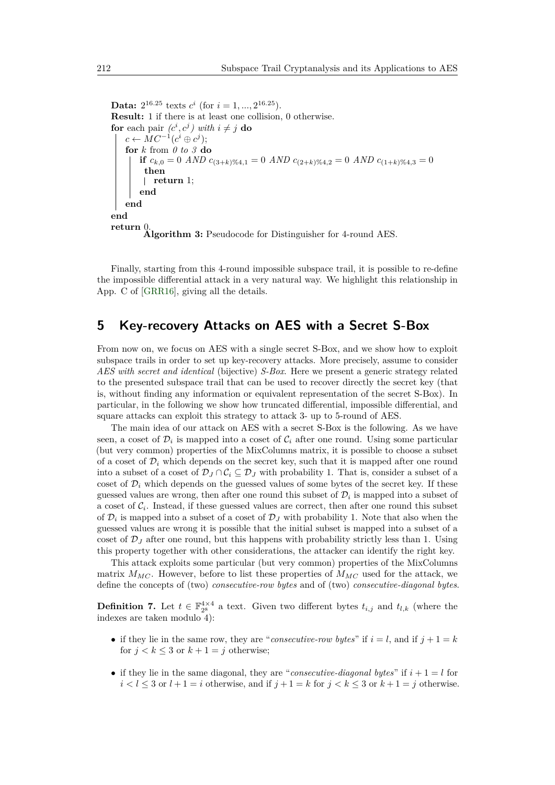**Data:**  $2^{16.25}$  texts  $c^i$  (for  $i = 1, ..., 2^{16.25}$ ). **Result:** 1 if there is at least one collision, 0 otherwise. **for** each pair  $(c^i, c^j)$  with  $i \neq j$  **do**  $c \leftarrow MC^{-1}(c^i \oplus c^j);$ **for** *k* from *0 to 3* **do if**  $c_{k,0} = 0$  *AND*  $c_{(3+k)} \ll_{4,1} = 0$  *AND*  $c_{(2+k)} \ll_{4,2} = 0$  *AND*  $c_{(1+k)} \ll_{4,3} = 0$ **then return** 1; **end end end return** 0.<br> **Algorithm 3:** Pseudocode for Distinguisher for 4-round AES.

Finally, starting from this 4-round impossible subspace trail, it is possible to re-define the impossible differential attack in a very natural way. We highlight this relationship in App. C of [\[GRR16\]](#page-32-2), giving all the details.

## <span id="page-20-0"></span>**5 Key-recovery Attacks on AES with a Secret S-Box**

From now on, we focus on AES with a single secret S-Box, and we show how to exploit subspace trails in order to set up key-recovery attacks. More precisely, assume to consider *AES with secret and identical* (bijective) *S-Box*. Here we present a generic strategy related to the presented subspace trail that can be used to recover directly the secret key (that is, without finding any information or equivalent representation of the secret S-Box). In particular, in the following we show how truncated differential, impossible differential, and square attacks can exploit this strategy to attack 3- up to 5-round of AES.

The main idea of our attack on AES with a secret S-Box is the following. As we have seen, a coset of  $\mathcal{D}_i$  is mapped into a coset of  $\mathcal{C}_i$  after one round. Using some particular (but very common) properties of the MixColumns matrix, it is possible to choose a subset of a coset of  $\mathcal{D}_i$  which depends on the secret key, such that it is mapped after one round into a subset of a coset of  $\mathcal{D}_J \cap \mathcal{C}_i \subseteq \mathcal{D}_J$  with probability 1. That is, consider a subset of a coset of  $\mathcal{D}_i$  which depends on the guessed values of some bytes of the secret key. If these guessed values are wrong, then after one round this subset of  $\mathcal{D}_i$  is mapped into a subset of a coset of  $C_i$ . Instead, if these guessed values are correct, then after one round this subset of  $\mathcal{D}_i$  is mapped into a subset of a coset of  $\mathcal{D}_J$  with probability 1. Note that also when the guessed values are wrong it is possible that the initial subset is mapped into a subset of a coset of  $\mathcal{D}_J$  after one round, but this happens with probability strictly less than 1. Using this property together with other considerations, the attacker can identify the right key.

This attack exploits some particular (but very common) properties of the MixColumns matrix  $M_{MC}$ . However, before to list these properties of  $M_{MC}$  used for the attack, we define the concepts of (two) *consecutive-row bytes* and of (two) *consecutive-diagonal bytes*.

**Definition 7.** Let  $t \in \mathbb{F}_{2^8}^{4 \times 4}$  a text. Given two different bytes  $t_{i,j}$  and  $t_{l,k}$  (where the indexes are taken modulo 4):

- if they lie in the same row, they are "*consecutive-row bytes*" if  $i = l$ , and if  $j + 1 = k$ for  $j < k \leq 3$  or  $k + 1 = j$  otherwise;
- if they lie in the same diagonal, they are "*consecutive-diagonal bytes*" if  $i + 1 = l$  for  $i < l \leq 3$  or  $l + 1 = i$  otherwise, and if  $j + 1 = k$  for  $j < k \leq 3$  or  $k + 1 = j$  otherwise.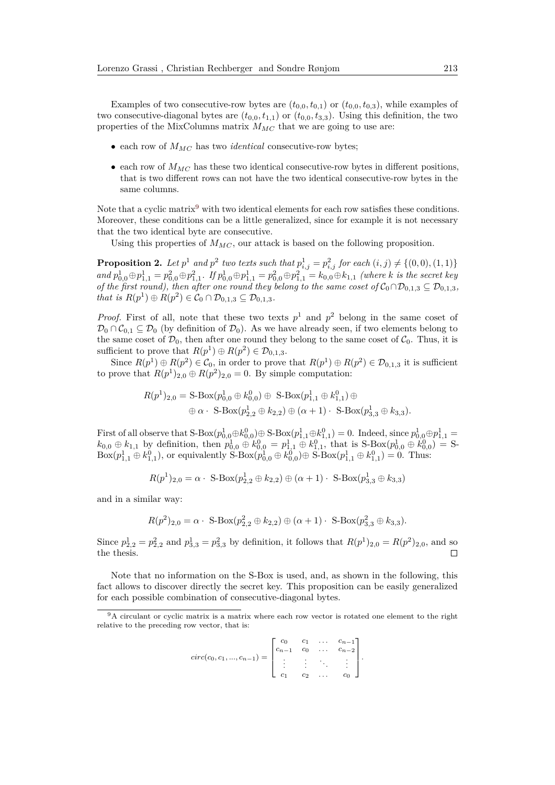Examples of two consecutive-row bytes are  $(t_{0,0}, t_{0,1})$  or  $(t_{0,0}, t_{0,3})$ , while examples of two consecutive-diagonal bytes are  $(t_{0,0}, t_{1,1})$  or  $(t_{0,0}, t_{3,3})$ . Using this definition, the two properties of the MixColumns matrix *MMC* that we are going to use are:

- each row of *MMC* has two *identical* consecutive-row bytes;
- each row of  $M_{MC}$  has these two identical consecutive-row bytes in different positions, that is two different rows can not have the two identical consecutive-row bytes in the same columns.

Note that a cyclic matrix<sup>[9](#page-21-0)</sup> with two identical elements for each row satisfies these conditions. Moreover, these conditions can be a little generalized, since for example it is not necessary that the two identical byte are consecutive.

Using this properties of  $M_{MC}$ , our attack is based on the following proposition.

**Proposition 2.** Let  $p^1$  and  $p^2$  two texts such that  $p^1_{i,j} = p^2_{i,j}$  for each  $(i, j) \neq \{(0, 0), (1, 1)\}$ and  $p_{0,0}^1 \oplus p_{1,1}^1 = p_{0,0}^2 \oplus p_{1,1}^2$ . If  $p_{0,0}^1 \oplus p_{1,1}^1 = p_{0,0}^2 \oplus p_{1,1}^2 = k_{0,0} \oplus k_{1,1}$  (where k is the secret key *of the first round), then after one round they belong to the same coset of*  $C_0 \cap D_{0,1,3} \subseteq D_{0,1,3}$ *, that is*  $R(p^1) \oplus R(p^2) \in C_0 \cap D_{0,1,3} \subseteq D_{0,1,3}$ .

*Proof.* First of all, note that these two texts  $p^1$  and  $p^2$  belong in the same coset of  $\mathcal{D}_0 \cap \mathcal{C}_{0,1} \subseteq \mathcal{D}_0$  (by definition of  $\mathcal{D}_0$ ). As we have already seen, if two elements belong to the same coset of  $\mathcal{D}_0$ , then after one round they belong to the same coset of  $\mathcal{C}_0$ . Thus, it is sufficient to prove that  $R(p^1) \oplus R(p^2) \in \mathcal{D}_{0,1,3}$ .

Since  $R(p^1) \oplus R(p^2) \in \mathcal{C}_0$ , in order to prove that  $R(p^1) \oplus R(p^2) \in \mathcal{D}_{0,1,3}$  it is sufficient to prove that  $R(p^1)_{2,0} \oplus R(p^2)_{2,0} = 0$ . By simple computation:

$$
R(p^{1})_{2,0} = S\text{-Box}(p_{0,0}^{1} \oplus k_{0,0}^{0}) \oplus S\text{-Box}(p_{1,1}^{1} \oplus k_{1,1}^{0}) \oplus
$$
  

$$
\oplus \alpha \cdot S\text{-Box}(p_{2,2}^{1} \oplus k_{2,2}) \oplus (\alpha + 1) \cdot S\text{-Box}(p_{3,3}^{1} \oplus k_{3,3}).
$$

First of all observe that  $S\text{-Box}(p_{0,0}^1 \oplus k_{0,0}^0) \oplus S\text{-Box}(p_{1,1}^1 \oplus k_{1,1}^0) = 0$ . Indeed, since  $p_{0,0}^1 \oplus p_{1,1}^1 =$  $k_{0,0} \oplus k_{1,1}$  by definition, then  $p_{0,0}^1 \oplus k_{0,0}^0 = p_{1,1}^1 \oplus k_{1,1}^0$ , that is S-Box $(p_{0,0}^1 \oplus k_{0,0}^0) = S$ - $Box(p_{1,1}^1 \oplus k_{1,1}^0)$ , or equivalently  $S-Box(p_{0,0}^1 \oplus k_{0,0}^0) \oplus S-Box(p_{1,1}^1 \oplus k_{1,1}^0) = 0$ . Thus:

$$
R(p^{1})_{2,0} = \alpha \cdot \mathop{\mathrm{S-Box}}(p^{1}_{2,2} \oplus k_{2,2}) \oplus (\alpha + 1) \cdot \mathop{\mathrm{S-Box}}(p^{1}_{3,3} \oplus k_{3,3})
$$

and in a similar way:

$$
R(p^{2})_{2,0} = \alpha \cdot \text{S-Box}(p_{2,2}^{2} \oplus k_{2,2}) \oplus (\alpha+1) \cdot \text{S-Box}(p_{3,3}^{2} \oplus k_{3,3}).
$$

Since  $p_{2,2}^1 = p_{2,2}^2$  and  $p_{3,3}^1 = p_{3,3}^2$  by definition, it follows that  $R(p^1)_{2,0} = R(p^2)_{2,0}$ , and so the thesis.  $\Box$ 

Note that no information on the S-Box is used, and, as shown in the following, this fact allows to discover directly the secret key. This proposition can be easily generalized for each possible combination of consecutive-diagonal bytes.

$$
circ(c_0, c_1, ..., c_{n-1}) = \begin{bmatrix} c_0 & c_1 & \dots & c_{n-1} \\ c_{n-1} & c_0 & \dots & c_{n-2} \\ \vdots & \vdots & \ddots & \vdots \\ c_1 & c_2 & \dots & c_0 \end{bmatrix}.
$$

<span id="page-21-0"></span><sup>&</sup>lt;sup>9</sup>A circulant or cyclic matrix is a matrix where each row vector is rotated one element to the right relative to the preceding row vector, that is: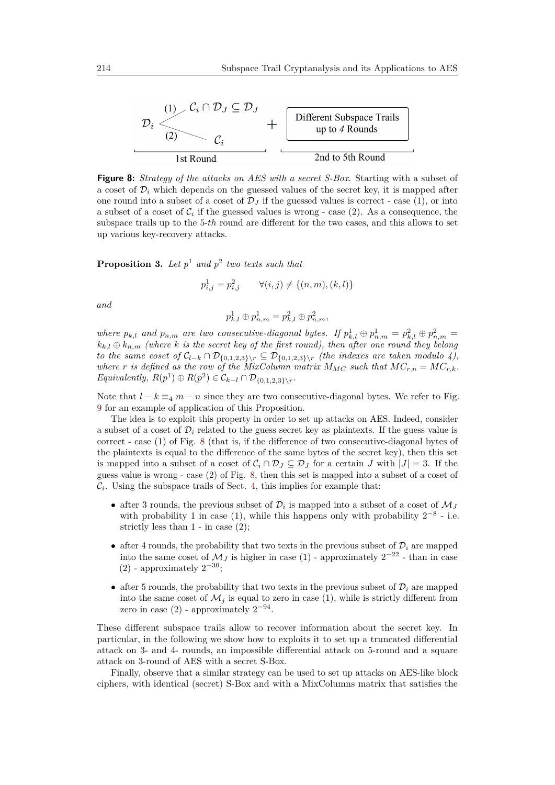<span id="page-22-0"></span>

**Figure 8:** *Strategy of the attacks on AES with a secret S-Box*. Starting with a subset of a coset of  $\mathcal{D}_i$  which depends on the guessed values of the secret key, it is mapped after one round into a subset of a coset of  $\mathcal{D}_J$  if the guessed values is correct - case (1), or into a subset of a coset of  $C_i$  if the guessed values is wrong - case  $(2)$ . As a consequence, the subspace trails up to the 5-*th* round are different for the two cases, and this allows to set up various key-recovery attacks.

<span id="page-22-1"></span>**Proposition 3.** *Let p* <sup>1</sup> *and p* 2 *two texts such that*

$$
p_{i,j}^1 = p_{i,j}^2 \qquad \forall (i,j) \neq \{(n,m), (k,l)\}
$$

*and*

$$
p_{k,l}^1\oplus p_{n,m}^1=p_{k,l}^2\oplus p_{n,m}^2,
$$

*where*  $p_{k,l}$  and  $p_{n,m}$  are two consecutive-diagonal bytes. If  $p_{k,l}^1 \oplus p_{n,m}^1 = p_{k,l}^2 \oplus p_{n,m}^2 =$  $k_{k,l} \oplus k_{n,m}$  *(where k is the secret key of the first round), then after one round they belong to the same coset of*  $C_{l-k} ∩ D_{\{0,1,2,3\}\wedge r} ⊆ D_{\{0,1,2,3\}\wedge r}$  *(the indexes are taken modulo 4),* where *r* is defined as the row of the MixColumn matrix  $M_{MC}$  such that  $MC_{r,n} = MC_{r,k}$ .  $Equivalently, R(p^{1}) \oplus R(p^{2}) \in C_{k-l} \cap D_{\{0,1,2,3\}\setminus r}.$ 

Note that  $l - k \equiv_4 m - n$  since they are two consecutive-diagonal bytes. We refer to Fig. [9](#page-23-1) for an example of application of this Proposition.

The idea is to exploit this property in order to set up attacks on AES. Indeed, consider a subset of a coset of  $\mathcal{D}_i$  related to the guess secret key as plaintexts. If the guess value is correct - case (1) of Fig. [8](#page-22-0) (that is, if the difference of two consecutive-diagonal bytes of the plaintexts is equal to the difference of the same bytes of the secret key), then this set is mapped into a subset of a coset of  $C_i \cap D_j \subseteq D_j$  for a certain *J* with  $|J| = 3$ . If the guess value is wrong - case (2) of Fig. [8,](#page-22-0) then this set is mapped into a subset of a coset of  $\mathcal{C}_i$ . Using the subspace trails of Sect. [4,](#page-13-1) this implies for example that:

- after 3 rounds, the previous subset of  $\mathcal{D}_i$  is mapped into a subset of a coset of  $\mathcal{M}_j$ with probability 1 in case (1), while this happens only with probability  $2^{-8}$  - i.e. strictly less than  $1 -$  in case  $(2)$ ;
- after 4 rounds, the probability that two texts in the previous subset of  $\mathcal{D}_i$  are mapped into the same coset of  $\mathcal{M}_J$  is higher in case (1) - approximately  $2^{-22}$  - than in case  $(2)$  - approximately  $2^{-30}$ ;
- after 5 rounds, the probability that two texts in the previous subset of  $\mathcal{D}_i$  are mapped into the same coset of  $\mathcal{M}_i$  is equal to zero in case (1), while is strictly different from zero in case  $(2)$  - approximately  $2^{-94}$ .

These different subspace trails allow to recover information about the secret key. In particular, in the following we show how to exploits it to set up a truncated differential attack on 3- and 4- rounds, an impossible differential attack on 5-round and a square attack on 3-round of AES with a secret S-Box.

Finally, observe that a similar strategy can be used to set up attacks on AES-like block ciphers, with identical (secret) S-Box and with a MixColumns matrix that satisfies the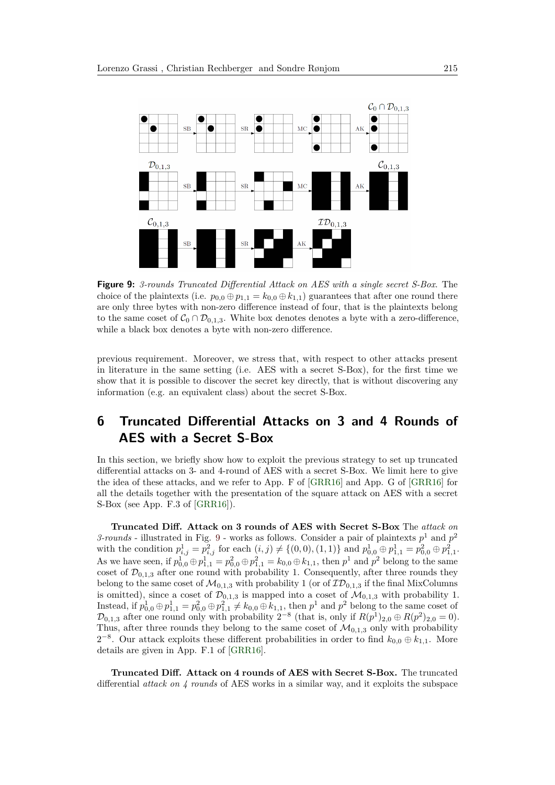<span id="page-23-1"></span>

**Figure 9:** *3-rounds Truncated Differential Attack on AES with a single secret S-Box*. The choice of the plaintexts (i.e.  $p_{0,0} \oplus p_{1,1} = k_{0,0} \oplus k_{1,1}$ ) guarantees that after one round there are only three bytes with non-zero difference instead of four, that is the plaintexts belong to the same coset of  $C_0 \cap \mathcal{D}_{0,1,3}$ . White box denotes denotes a byte with a zero-difference, while a black box denotes a byte with non-zero difference.

previous requirement. Moreover, we stress that, with respect to other attacks present in literature in the same setting (i.e. AES with a secret S-Box), for the first time we show that it is possible to discover the secret key directly, that is without discovering any information (e.g. an equivalent class) about the secret S-Box.

## <span id="page-23-0"></span>**6 Truncated Differential Attacks on 3 and 4 Rounds of AES with a Secret S-Box**

In this section, we briefly show how to exploit the previous strategy to set up truncated differential attacks on 3- and 4-round of AES with a secret S-Box. We limit here to give the idea of these attacks, and we refer to App. F of [\[GRR16\]](#page-32-2) and App. G of [\[GRR16\]](#page-32-2) for all the details together with the presentation of the square attack on AES with a secret S-Box (see App. F.3 of [\[GRR16\]](#page-32-2)).

**Truncated Diff. Attack on 3 rounds of AES with Secret S-Box** The *attack on 3-rounds* - illustrated in Fig. [9](#page-23-1) - works as follows. Consider a pair of plaintexts  $p<sup>1</sup>$  and  $p<sup>2</sup>$ with the condition  $p_{i,j}^1 = p_{i,j}^2$  for each  $(i, j) \neq \{(0, 0), (1, 1)\}\$  and  $p_{0,0}^1 \oplus p_{1,1}^1 = p_{0,0}^2 \oplus p_{1,1}^2$ . As we have seen, if  $p_{0,0}^1 \oplus p_{1,1}^1 = p_{0,0}^2 \oplus p_{1,1}^2 = k_{0,0} \oplus k_{1,1}$ , then  $p^1$  and  $p^2$  belong to the same coset of  $\mathcal{D}_{0,1,3}$  after one round with probability 1. Consequently, after three rounds they belong to the same coset of  $\mathcal{M}_{0,1,3}$  with probability 1 (or of  $\mathcal{ID}_{0,1,3}$  if the final MixColumns is omitted), since a coset of  $\mathcal{D}_{0,1,3}$  is mapped into a coset of  $\mathcal{M}_{0,1,3}$  with probability 1. Instead, if  $p_{0,0}^1 \oplus p_{1,1}^1 = p_{0,0}^2 \oplus p_{1,1}^2 \neq k_{0,0} \oplus k_{1,1}$ , then  $p^1$  and  $p^2$  belong to the same coset of  $\mathcal{D}_{0,1,3}$  after one round only with probability  $2^{-8}$  (that is, only if  $R(p^1)_{2,0} \oplus R(p^2)_{2,0} = 0$ ). Thus, after three rounds they belong to the same coset of  $\mathcal{M}_{0,1,3}$  only with probability  $2^{-8}$ . Our attack exploits these different probabilities in order to find  $k_{0,0} \oplus k_{1,1}$ . More details are given in App. F.1 of [\[GRR16\]](#page-32-2).

**Truncated Diff. Attack on 4 rounds of AES with Secret S-Box.** The truncated differential *attack on 4 rounds* of AES works in a similar way, and it exploits the subspace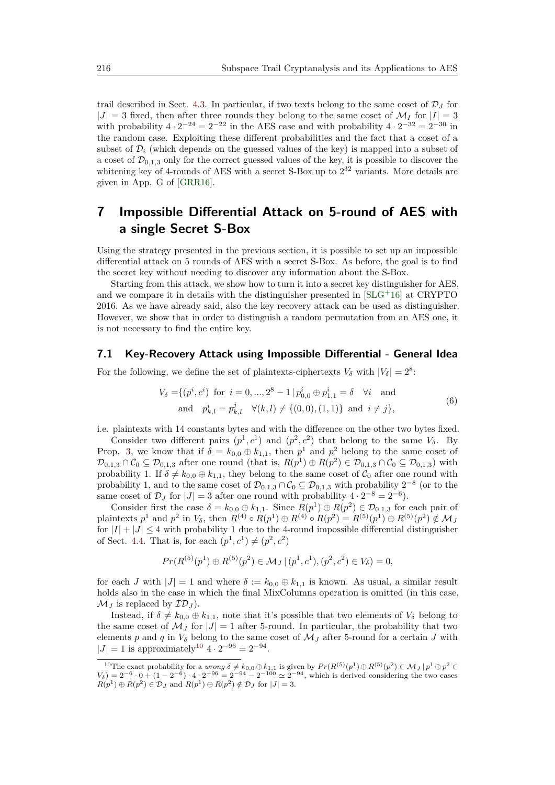trail described in Sect. [4.3.](#page-16-0) In particular, if two texts belong to the same coset of  $\mathcal{D}_J$  for  $|J| = 3$  fixed, then after three rounds they belong to the same coset of  $\mathcal{M}_I$  for  $|I| = 3$ with probability  $4 \cdot 2^{-24} = 2^{-22}$  in the AES case and with probability  $4 \cdot 2^{-32} = 2^{-30}$  in the random case. Exploiting these different probabilities and the fact that a coset of a subset of  $\mathcal{D}_i$  (which depends on the guessed values of the key) is mapped into a subset of a coset of  $\mathcal{D}_{0,1,3}$  only for the correct guessed values of the key, it is possible to discover the whitening key of 4-rounds of AES with a secret S-Box up to  $2^{32}$  variants. More details are given in App. G of [\[GRR16\]](#page-32-2).

## <span id="page-24-0"></span>**7 Impossible Differential Attack on 5-round of AES with a single Secret S-Box**

Using the strategy presented in the previous section, it is possible to set up an impossible differential attack on 5 rounds of AES with a secret S-Box. As before, the goal is to find the secret key without needing to discover any information about the S-Box.

Starting from this attack, we show how to turn it into a secret key distinguisher for AES, and we compare it in details with the distinguisher presented in  $[SLG^+16]$  $[SLG^+16]$  at CRYPTO 2016. As we have already said, also the key recovery attack can be used as distinguisher. However, we show that in order to distinguish a random permutation from an AES one, it is not necessary to find the entire key.

#### **7.1 Key-Recovery Attack using Impossible Differential - General Idea**

<span id="page-24-2"></span>For the following, we define the set of plaintexts-ciphertexts  $V_{\delta}$  with  $|V_{\delta}| = 2^{8}$ .

$$
V_{\delta} = \{ (p^i, c^i) \text{ for } i = 0, ..., 2^8 - 1 \mid p_{0,0}^i \oplus p_{1,1}^i = \delta \quad \forall i \text{ and}
$$
  
and 
$$
p_{k,l}^i = p_{k,l}^j \quad \forall (k,l) \neq \{ (0,0), (1,1) \} \text{ and } i \neq j \},
$$

$$
(6)
$$

i.e. plaintexts with 14 constants bytes and with the difference on the other two bytes fixed.

Consider two different pairs  $(p^1, c^1)$  and  $(p^2, c^2)$  that belong to the same  $V_\delta$ . By Prop. [3,](#page-22-1) we know that if  $\delta = k_{0,0} \oplus k_{1,1}$ , then  $p^1$  and  $p^2$  belong to the same coset of  $\mathcal{D}_{0,1,3} \cap \mathcal{C}_0 \subseteq \mathcal{D}_{0,1,3}$  after one round (that is,  $R(p^1) \oplus R(p^2) \in \mathcal{D}_{0,1,3} \cap \mathcal{C}_0 \subseteq \mathcal{D}_{0,1,3}$ ) with probability 1. If  $\delta \neq k_{0,0} \oplus k_{1,1}$ , they belong to the same coset of  $\mathcal{C}_0$  after one round with probability 1, and to the same coset of  $\mathcal{D}_{0,1,3} \cap \mathcal{C}_0 \subseteq \mathcal{D}_{0,1,3}$  with probability  $2^{-8}$  (or to the same coset of  $\mathcal{D}_J$  for  $|J| = 3$  after one round with probability  $4 \cdot 2^{-8} = 2^{-6}$ .

Consider first the case  $\delta = k_{0,0} \oplus k_{1,1}$ . Since  $R(p^1) \oplus R(p^2) \in \mathcal{D}_{0,1,3}$  for each pair of plaintexts  $p^1$  and  $p^2$  in  $V_\delta$ , then  $R^{(4)} \circ R(p^1) \oplus R^{(4)} \circ R(p^2) = R^{(5)}(p^1) \oplus R^{(5)}(p^2) \notin \mathcal{M}_J$ for  $|I| + |J| \leq 4$  with probability 1 due to the 4-round impossible differential distinguisher of Sect. [4.4.](#page-18-0) That is, for each  $(p^1, c^1) \neq (p^2, c^2)$ 

$$
Pr(R^{(5)}(p^{1}) \oplus R^{(5)}(p^{2}) \in \mathcal{M}_{J} | (p^{1}, c^{1}), (p^{2}, c^{2}) \in V_{\delta}) = 0,
$$

for each *J* with  $|J| = 1$  and where  $\delta := k_{0,0} \oplus k_{1,1}$  is known. As usual, a similar result holds also in the case in which the final MixColumns operation is omitted (in this case,  $\mathcal{M}_I$  is replaced by  $\mathcal{ID}_I$ ).

Instead, if  $\delta \neq k_{0,0} \oplus k_{1,1}$ , note that it's possible that two elements of  $V_{\delta}$  belong to the same coset of  $\mathcal{M}_J$  for  $|J|=1$  after 5-round. In particular, the probability that two elements *p* and *q* in  $V_{\delta}$  belong to the same coset of  $M_{J}$  after 5-round for a certain *J* with  $|J| = 1$  is approximately<sup>[10](#page-24-1)</sup>  $4 \cdot 2^{-96} = 2^{-94}$ .

<span id="page-24-1"></span><sup>&</sup>lt;sup>10</sup>The exact probability for a *wrong*  $\delta \neq k_{0,0} \oplus k_{1,1}$  is given by  $Pr(R^{(5)}(p^1) \oplus R^{(5)}(p^2) \in \mathcal{M}_J \mid p^1 \oplus p^2 \in \mathcal{M}_J$  $V_0$  = 2<sup>-6</sup> · 0 + (1 − 2<sup>-6</sup>) · 4 · 2<sup>-96</sup> = 2<sup>-94</sup> – 2<sup>-100</sup>  $\simeq$  2<sup>-94</sup>, which is derived considering the two cases  $R(p^1) \oplus R(p^2) \in \mathcal{D}_J$  and  $R(p^1) \oplus R(p^2) \notin \mathcal{D}_J$  for  $|J| = 3$ .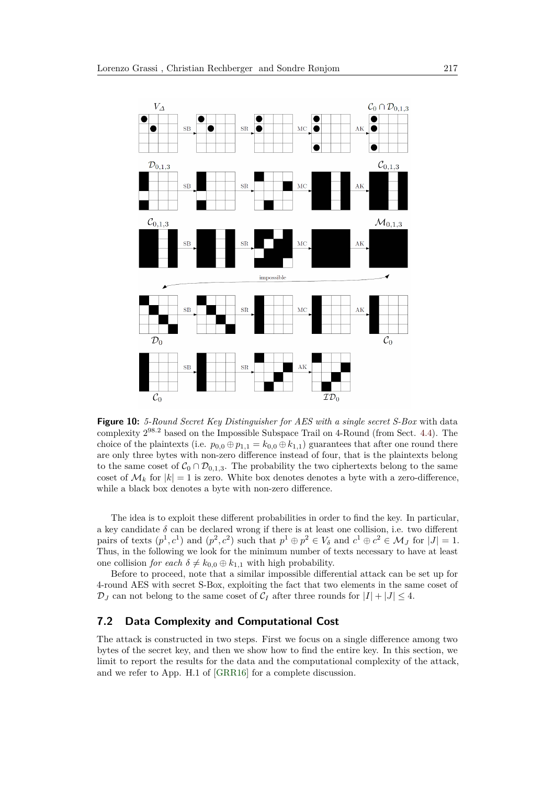

**Figure 10:** *5-Round Secret Key Distinguisher for AES with a single secret S-Box* with data complexity 2 <sup>98</sup>*.*<sup>2</sup> based on the Impossible Subspace Trail on 4-Round (from Sect. [4.4\)](#page-18-0). The choice of the plaintexts (i.e.  $p_{0,0} \oplus p_{1,1} = k_{0,0} \oplus k_{1,1}$ ) guarantees that after one round there are only three bytes with non-zero difference instead of four, that is the plaintexts belong to the same coset of  $C_0 \cap D_{0,1,3}$ . The probability the two ciphertexts belong to the same coset of  $\mathcal{M}_k$  for  $|k| = 1$  is zero. White box denotes denotes a byte with a zero-difference, while a black box denotes a byte with non-zero difference.

The idea is to exploit these different probabilities in order to find the key. In particular, a key candidate  $\delta$  can be declared wrong if there is at least one collision, i.e. two different pairs of texts  $(p^1, c^1)$  and  $(p^2, c^2)$  such that  $p^1 \oplus p^2 \in V_\delta$  and  $c^1 \oplus c^2 \in \mathcal{M}_J$  for  $|J| = 1$ . Thus, in the following we look for the minimum number of texts necessary to have at least one collision *for each*  $\delta \neq k_{0,0} \oplus k_{1,1}$  with high probability.

Before to proceed, note that a similar impossible differential attack can be set up for 4-round AES with secret S-Box, exploiting the fact that two elements in the same coset of  $\mathcal{D}_J$  can not belong to the same coset of  $\mathcal{C}_I$  after three rounds for  $|I| + |J| \leq 4$ .

#### **7.2 Data Complexity and Computational Cost**

The attack is constructed in two steps. First we focus on a single difference among two bytes of the secret key, and then we show how to find the entire key. In this section, we limit to report the results for the data and the computational complexity of the attack, and we refer to App. H.1 of [\[GRR16\]](#page-32-2) for a complete discussion.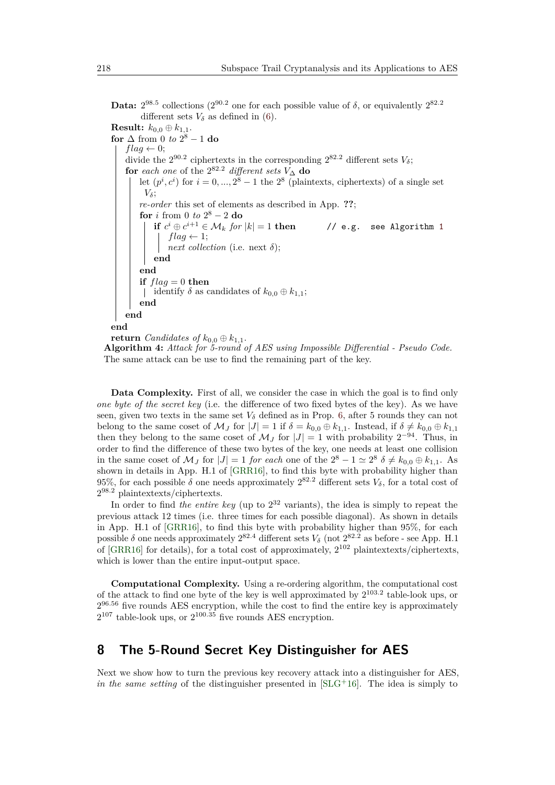Data:  $2^{98.5}$  collections ( $2^{90.2}$  one for each possible value of  $\delta$ , or equivalently  $2^{82.2}$ different sets  $V_{\delta}$  as defined in [\(6\)](#page-24-2).

**Result:**  $k_{0,0} \oplus k_{1,1}$ . **for**  $\Delta$  from 0 *to*  $2^8 - 1$  **do**  $flag \leftarrow 0;$ divide the  $2^{90.2}$  ciphertexts in the corresponding  $2^{82.2}$  different sets  $V_{\delta}$ ;  $\mathbf{for}$  *each one* of the  $2^{82.2}$  *different sets*  $V_{\Delta}$  **do** let  $(p^i, c^i)$  for  $i = 0, ..., 2^8 - 1$  the  $2^8$  (plaintexts, ciphertexts) of a single set *Vδ*; *re-order* this set of elements as described in App. **??**; **for** *i* from 0 *to*  $2^8 - 2$  **do**  $\mathbf{if} \ \ c^i \oplus c$ *<sup>i</sup>*+1 ∈ M*<sup>k</sup> for* |*k*| = 1 **then** // e.g. see Algorithm [1](#page-15-0)  $flag \leftarrow 1;$ *next collection* (i.e. next  $\delta$ ); **end end if**  $flag = 0$  **then**  $\int$  identify  $\delta$  as candidates of  $k_{0,0} \oplus k_{1,1}$ ; **end end end return** *Candidates of*  $k_{0,0} \oplus k_{1,1}$ .

**Algorithm 4:** *Attack for 5-round of AES using Impossible Differential - Pseudo Code.* The same attack can be use to find the remaining part of the key.

**Data Complexity.** First of all, we consider the case in which the goal is to find only *one byte of the secret key* (i.e. the difference of two fixed bytes of the key). As we have seen, given two texts in the same set  $V_\delta$  defined as in Prop. [6,](#page-24-2) after 5 rounds they can not belong to the same coset of  $\mathcal{M}_I$  for  $|J| = 1$  if  $\delta = k_{0,0} \oplus k_{1,1}$ . Instead, if  $\delta \neq k_{0,0} \oplus k_{1,1}$ then they belong to the same coset of  $\mathcal{M}_J$  for  $|J| = 1$  with probability  $2^{-94}$ . Thus, in order to find the difference of these two bytes of the key, one needs at least one collision in the same coset of  $\mathcal{M}_J$  for  $|J| = 1$  *for each* one of the  $2^8 - 1 \simeq 2^8$   $\delta \neq k_{0,0} \oplus k_{1,1}$ . As shown in details in App. H.1 of [\[GRR16\]](#page-32-2), to find this byte with probability higher than 95%, for each possible  $\delta$  one needs approximately  $2^{82.2}$  different sets  $V_{\delta}$ , for a total cost of 2 <sup>98</sup>*.*<sup>2</sup> plaintextexts/ciphertexts.

In order to find *the entire key* (up to 2 <sup>32</sup> variants), the idea is simply to repeat the previous attack 12 times (i.e. three times for each possible diagonal). As shown in details in App. H.1 of [\[GRR16\]](#page-32-2), to find this byte with probability higher than 95%, for each possible  $\delta$  one needs approximately  $2^{82.4}$  different sets  $V_{\delta}$  (not  $2^{82.2}$  as before - see App. H.1 of [\[GRR16\]](#page-32-2) for details), for a total cost of approximately,  $2^{102}$  plaintextexts/ciphertexts, which is lower than the entire input-output space.

**Computational Complexity.** Using a re-ordering algorithm, the computational cost of the attack to find one byte of the key is well approximated by  $2^{103.2}$  table-look ups, or  $2^{96.56}$  five rounds AES encryption, while the cost to find the entire key is approximately  $2^{107}$  table-look ups, or  $2^{100.35}$  five rounds AES encryption.

## <span id="page-26-0"></span>**8 The 5-Round Secret Key Distinguisher for AES**

Next we show how to turn the previous key recovery attack into a distinguisher for AES, *in the same setting* of the distinguisher presented in [\[SLG](#page-33-2)<sup>+</sup>16]. The idea is simply to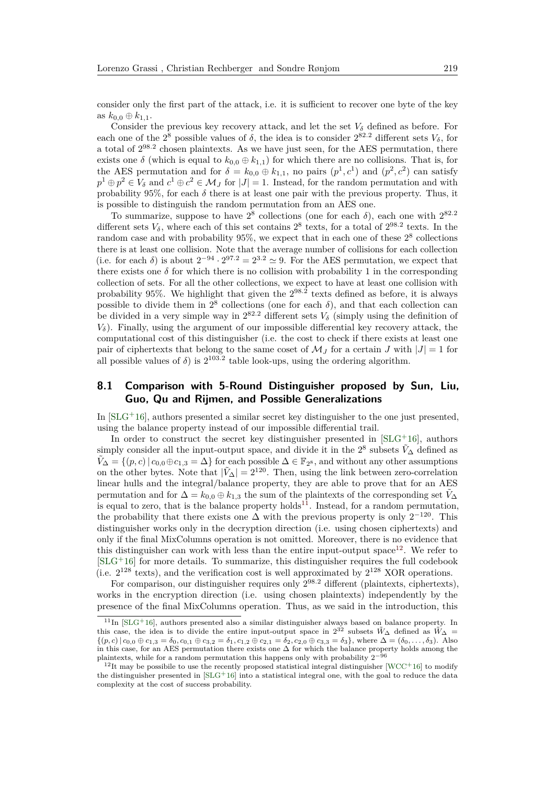consider only the first part of the attack, i.e. it is sufficient to recover one byte of the key as  $k_{0,0} \oplus k_{1,1}$ .

Consider the previous key recovery attack, and let the set  $V_{\delta}$  defined as before. For each one of the  $2^8$  possible values of  $\delta$ , the idea is to consider  $2^{82.2}$  different sets  $V_{\delta}$ , for a total of  $2^{98.2}$  chosen plaintexts. As we have just seen, for the AES permutation, there exists one  $\delta$  (which is equal to  $k_{0,0} \oplus k_{1,1}$ ) for which there are no collisions. That is, for the AES permutation and for  $\delta = k_{0,0} \oplus k_{1,1}$ , no pairs  $(p^1, c^1)$  and  $(p^2, c^2)$  can satisfy  $p^1 \oplus p^2 \in V_\delta$  and  $c^1 \oplus c^2 \in \mathcal{M}_J$  for  $|J| = 1$ . Instead, for the random permutation and with probability 95%, for each  $\delta$  there is at least one pair with the previous property. Thus, it is possible to distinguish the random permutation from an AES one.

To summarize, suppose to have  $2^8$  collections (one for each  $\delta$ ), each one with  $2^{82.2}$ different sets  $V_{\delta}$ , where each of this set contains  $2^8$  texts, for a total of  $2^{98.2}$  texts. In the random case and with probability 95%, we expect that in each one of these  $2^8$  collections there is at least one collision. Note that the average number of collisions for each collection (i.e. for each  $\delta$ ) is about  $2^{-94} \cdot 2^{97.2} = 2^{3.2} \approx 9$ . For the AES permutation, we expect that there exists one  $\delta$  for which there is no collision with probability 1 in the corresponding collection of sets. For all the other collections, we expect to have at least one collision with probability 95%. We highlight that given the 2 98*.*2 texts defined as before, it is always possible to divide them in  $2^8$  collections (one for each  $\delta$ ), and that each collection can be divided in a very simple way in  $2^{82.2}$  different sets  $V_{\delta}$  (simply using the definition of  $V_{\delta}$ ). Finally, using the argument of our impossible differential key recovery attack, the computational cost of this distinguisher (i.e. the cost to check if there exists at least one pair of ciphertexts that belong to the same coset of  $\mathcal{M}_I$  for a certain *J* with  $|J|=1$  for all possible values of  $\delta$ ) is  $2^{103.2}$  table look-ups, using the ordering algorithm.

### <span id="page-27-0"></span>**8.1 Comparison with 5-Round Distinguisher proposed by Sun, Liu, Guo, Qu and Rijmen, and Possible Generalizations**

In  $[SLG^+16]$  $[SLG^+16]$ , authors presented a similar secret key distinguisher to the one just presented, using the balance property instead of our impossible differential trail.

In order to construct the secret key distinguisher presented in  $[SLG^+16]$  $[SLG^+16]$ , authors simply consider all the input-output space, and divide it in the  $2^8$  subsets  $\tilde{V}_{\Delta}$  defined as  $\tilde{V}_{\Delta} = \{(p, c) | c_{0,0} \oplus c_{1,3} = \Delta\}$  for each possible  $\Delta \in \mathbb{F}_{2^8}$ , and without any other assumptions on the other bytes. Note that  $|\tilde{V}_\Delta| = 2^{120}$ . Then, using the link between zero-correlation linear hulls and the integral/balance property, they are able to prove that for an AES permutation and for  $\Delta = k_{0,0} \oplus k_{1,3}$  the sum of the plaintexts of the corresponding set  $\tilde{V}_{\Delta}$ is equal to zero, that is the balance property holds<sup>[11](#page-27-1)</sup>. Instead, for a random permutation, the probability that there exists one  $\Delta$  with the previous property is only  $2^{-120}$ . This distinguisher works only in the decryption direction (i.e. using chosen ciphertexts) and only if the final MixColumns operation is not omitted. Moreover, there is no evidence that this distinguisher can work with less than the entire input-output space<sup>[12](#page-27-2)</sup>. We refer to  $[SLG^+16]$  $[SLG^+16]$  for more details. To summarize, this distinguisher requires the full codebook (i.e.  $2^{128}$  texts), and the verification cost is well approximated by  $2^{128}$  XOR operations.

For comparison, our distinguisher requires only  $2^{98.2}$  different (plaintexts, ciphertexts), works in the encryption direction (i.e. using chosen plaintexts) independently by the presence of the final MixColumns operation. Thus, as we said in the introduction, this

<span id="page-27-1"></span> $11$ In  $[SLG+16]$  $[SLG+16]$ , authors presented also a similar distinguisher always based on balance property. In this case, the idea is to divide the entire input-output space in  $2^{32}$  subsets  $\tilde{W}_{\Delta}$  defined as  $\tilde{W}_{\Delta}$  =  $\{(p, c) | c_{0,0} \oplus c_{1,3} = \delta_0, c_{0,1} \oplus c_{3,2} = \delta_1, c_{1,2} \oplus c_{2,1} = \delta_2, c_{2,0} \oplus c_{3,3} = \delta_3\}$ , where  $\Delta = (\delta_0, \ldots, \delta_3)$ . Also in this case, for an AES permutation there exists one  $\Delta$  for which the balance property holds among the plaintexts, while for a random permutation this happens only with probability 2−<sup>96</sup>

<span id="page-27-2"></span> $12$ It may be possibile to use the recently proposed statistical integral distinguisher [\[WCC](#page-33-7)+16] to modify the distinguisher presented in  $SLG+16$  into a statistical integral one, with the goal to reduce the data complexity at the cost of success probability.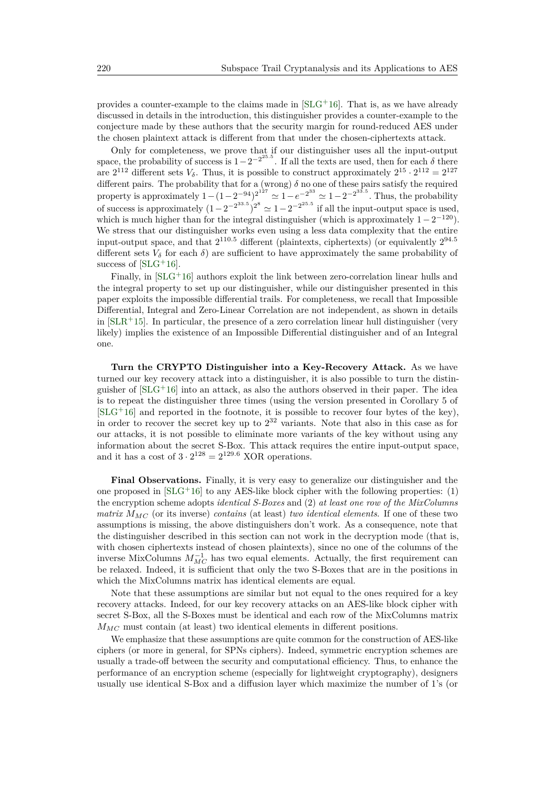provides a counter-example to the claims made in  $[SLG+16]$  $[SLG+16]$ . That is, as we have already discussed in details in the introduction, this distinguisher provides a counter-example to the conjecture made by these authors that the security margin for round-reduced AES under the chosen plaintext attack is different from that under the chosen-ciphertexts attack.

Only for completeness, we prove that if our distinguisher uses all the input-output space, the probability of success is  $1-2^{-2^{25.5}}$ . If all the texts are used, then for each  $\delta$  there are  $2^{112}$  different sets  $V_{\delta}$ . Thus, it is possible to construct approximately  $2^{15} \cdot 2^{112} = 2^{127}$ different pairs. The probability that for a (wrong)  $\delta$  no one of these pairs satisfy the required property is approximately  $1 - (1 - 2^{-94})^{2^{127}} \simeq 1 - e^{-2^{33}} \simeq 1 - 2^{-2^{33.5}}$ . Thus, the probability of success is approximately  $(1-2^{-2^{33.5}})^{2^8} \simeq 1-2^{-2^{35.5}}$  if all the input-output space is used, which is much higher than for the integral distinguisher (which is approximately  $1 - 2^{-120}$ ). We stress that our distinguisher works even using a less data complexity that the entire input-output space, and that  $2^{110.5}$  different (plaintexts, ciphertexts) (or equivalently  $2^{94.5}$ different sets  $V_\delta$  for each  $\delta$ ) are sufficient to have approximately the same probability of success of  $[SLG<sup>+</sup>16]$  $[SLG<sup>+</sup>16]$ .

Finally, in  $SLG+16$  authors exploit the link between zero-correlation linear hulls and the integral property to set up our distinguisher, while our distinguisher presented in this paper exploits the impossible differential trails. For completeness, we recall that Impossible Differential, Integral and Zero-Linear Correlation are not independent, as shown in details in  $SLR+15$ . In particular, the presence of a zero correlation linear hull distinguisher (very likely) implies the existence of an Impossible Differential distinguisher and of an Integral one.

**Turn the CRYPTO Distinguisher into a Key-Recovery Attack.** As we have turned our key recovery attack into a distinguisher, it is also possible to turn the distinguisher of  $SLG+16$  into an attack, as also the authors observed in their paper. The idea is to repeat the distinguisher three times (using the version presented in Corollary 5 of  $[SLG+16]$  $[SLG+16]$  and reported in the footnote, it is possible to recover four bytes of the key), in order to recover the secret key up to 2 <sup>32</sup> variants. Note that also in this case as for our attacks, it is not possible to eliminate more variants of the key without using any information about the secret S-Box. This attack requires the entire input-output space, and it has a cost of  $3 \cdot 2^{128} = 2^{129.6}$  XOR operations.

**Final Observations.** Finally, it is very easy to generalize our distinguisher and the one proposed in  $SLG+16$  to any AES-like block cipher with the following properties: (1) the encryption scheme adopts *identical S-Boxes* and (2) *at least one row of the MixColumns matrix*  $M_{MC}$  (or its inverse) *contains* (at least) *two identical elements*. If one of these two assumptions is missing, the above distinguishers don't work. As a consequence, note that the distinguisher described in this section can not work in the decryption mode (that is, with chosen ciphertexts instead of chosen plaintexts), since no one of the columns of the inverse MixColumns  $M_{MC}^{-1}$  has two equal elements. Actually, the first requirement can be relaxed. Indeed, it is sufficient that only the two S-Boxes that are in the positions in which the MixColumns matrix has identical elements are equal.

Note that these assumptions are similar but not equal to the ones required for a key recovery attacks. Indeed, for our key recovery attacks on an AES-like block cipher with secret S-Box, all the S-Boxes must be identical and each row of the MixColumns matrix  $M_{MC}$  must contain (at least) two identical elements in different positions.

We emphasize that these assumptions are quite common for the construction of AES-like ciphers (or more in general, for SPNs ciphers). Indeed, symmetric encryption schemes are usually a trade-off between the security and computational efficiency. Thus, to enhance the performance of an encryption scheme (especially for lightweight cryptography), designers usually use identical S-Box and a diffusion layer which maximize the number of 1's (or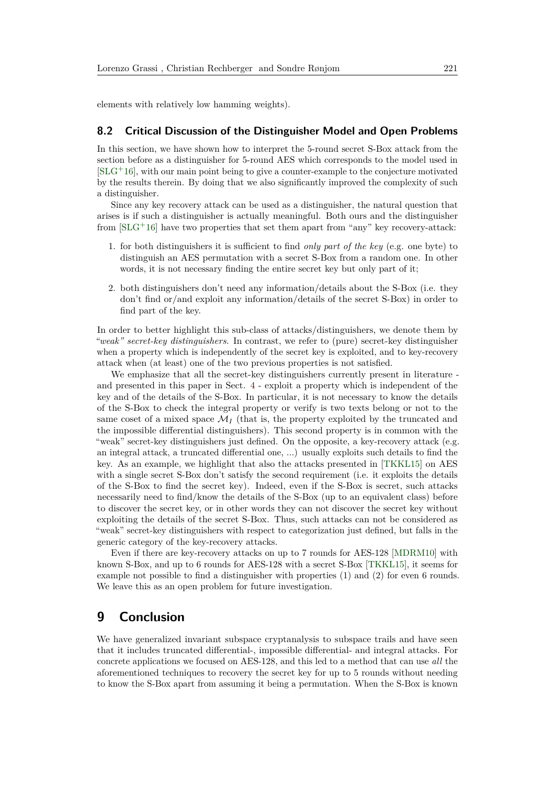elements with relatively low hamming weights).

#### <span id="page-29-0"></span>**8.2 Critical Discussion of the Distinguisher Model and Open Problems**

In this section, we have shown how to interpret the 5-round secret S-Box attack from the section before as a distinguisher for 5-round AES which corresponds to the model used in  $[SLG^+16]$  $[SLG^+16]$ , with our main point being to give a counter-example to the conjecture motivated by the results therein. By doing that we also significantly improved the complexity of such a distinguisher.

Since any key recovery attack can be used as a distinguisher, the natural question that arises is if such a distinguisher is actually meaningful. Both ours and the distinguisher from  $[SLG^+16]$  $[SLG^+16]$  have two properties that set them apart from "any" key recovery-attack:

- 1. for both distinguishers it is sufficient to find *only part of the key* (e.g. one byte) to distinguish an AES permutation with a secret S-Box from a random one. In other words, it is not necessary finding the entire secret key but only part of it;
- 2. both distinguishers don't need any information/details about the S-Box (i.e. they don't find or/and exploit any information/details of the secret S-Box) in order to find part of the key.

In order to better highlight this sub-class of attacks/distinguishers, we denote them by *"weak" secret-key distinguishers*. In contrast, we refer to (pure) secret-key distinguisher when a property which is independently of the secret key is exploited, and to key-recovery attack when (at least) one of the two previous properties is not satisfied.

We emphasize that all the secret-key distinguishers currently present in literature and presented in this paper in Sect. [4](#page-13-1) - exploit a property which is independent of the key and of the details of the S-Box. In particular, it is not necessary to know the details of the S-Box to check the integral property or verify is two texts belong or not to the same coset of a mixed space  $\mathcal{M}_I$  (that is, the property exploited by the truncated and the impossible differential distinguishers). This second property is in common with the "weak" secret-key distinguishers just defined. On the opposite, a key-recovery attack (e.g. an integral attack, a truncated differential one, ...) usually exploits such details to find the key. As an example, we highlight that also the attacks presented in [\[TKKL15\]](#page-33-1) on AES with a single secret S-Box don't satisfy the second requirement (i.e. it exploits the details of the S-Box to find the secret key). Indeed, even if the S-Box is secret, such attacks necessarily need to find/know the details of the S-Box (up to an equivalent class) before to discover the secret key, or in other words they can not discover the secret key without exploiting the details of the secret S-Box. Thus, such attacks can not be considered as "weak" secret-key distinguishers with respect to categorization just defined, but falls in the generic category of the key-recovery attacks.

Even if there are key-recovery attacks on up to 7 rounds for AES-128 [\[MDRM10\]](#page-32-13) with known S-Box, and up to 6 rounds for AES-128 with a secret S-Box [\[TKKL15\]](#page-33-1), it seems for example not possible to find a distinguisher with properties (1) and (2) for even 6 rounds. We leave this as an open problem for future investigation.

## **9 Conclusion**

We have generalized invariant subspace cryptanalysis to subspace trails and have seen that it includes truncated differential-, impossible differential- and integral attacks. For concrete applications we focused on AES-128, and this led to a method that can use *all* the aforementioned techniques to recovery the secret key for up to 5 rounds without needing to know the S-Box apart from assuming it being a permutation. When the S-Box is known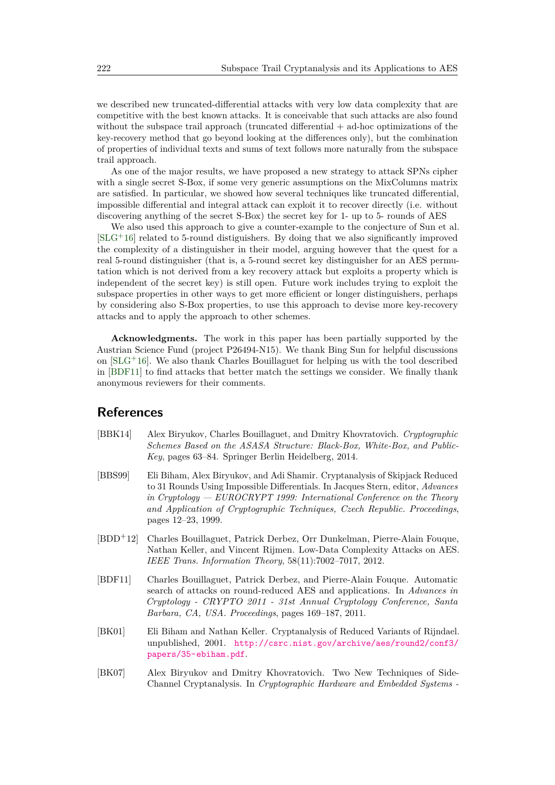we described new truncated-differential attacks with very low data complexity that are competitive with the best known attacks. It is conceivable that such attacks are also found without the subspace trail approach (truncated differential + ad-hoc optimizations of the key-recovery method that go beyond looking at the differences only), but the combination of properties of individual texts and sums of text follows more naturally from the subspace trail approach.

As one of the major results, we have proposed a new strategy to attack SPNs cipher with a single secret S-Box, if some very generic assumptions on the MixColumns matrix are satisfied. In particular, we showed how several techniques like truncated differential, impossible differential and integral attack can exploit it to recover directly (i.e. without discovering anything of the secret S-Box) the secret key for 1- up to 5- rounds of AES

We also used this approach to give a counter-example to the conjecture of Sun et al.  $[SLG+16]$  $[SLG+16]$  related to 5-round distiguishers. By doing that we also significantly improved the complexity of a distinguisher in their model, arguing however that the quest for a real 5-round distinguisher (that is, a 5-round secret key distinguisher for an AES permutation which is not derived from a key recovery attack but exploits a property which is independent of the secret key) is still open. Future work includes trying to exploit the subspace properties in other ways to get more efficient or longer distinguishers, perhaps by considering also S-Box properties, to use this approach to devise more key-recovery attacks and to apply the approach to other schemes.

**Acknowledgments.** The work in this paper has been partially supported by the Austrian Science Fund (project P26494-N15). We thank Bing Sun for helpful discussions on [\[SLG](#page-33-2)<sup>+</sup>16]. We also thank Charles Bouillaguet for helping us with the tool described in [\[BDF11\]](#page-30-4) to find attacks that better match the settings we consider. We finally thank anonymous reviewers for their comments.

### **References**

- <span id="page-30-5"></span>[BBK14] Alex Biryukov, Charles Bouillaguet, and Dmitry Khovratovich. *Cryptographic Schemes Based on the ASASA Structure: Black-Box, White-Box, and Public-Key*, pages 63–84. Springer Berlin Heidelberg, 2014.
- <span id="page-30-2"></span>[BBS99] Eli Biham, Alex Biryukov, and Adi Shamir. Cryptanalysis of Skipjack Reduced to 31 Rounds Using Impossible Differentials. In Jacques Stern, editor, *Advances in Cryptology — EUROCRYPT 1999: International Conference on the Theory and Application of Cryptographic Techniques, Czech Republic. Proceedings*, pages 12–23, 1999.
- <span id="page-30-3"></span>[BDD<sup>+</sup>12] Charles Bouillaguet, Patrick Derbez, Orr Dunkelman, Pierre-Alain Fouque, Nathan Keller, and Vincent Rijmen. Low-Data Complexity Attacks on AES. *IEEE Trans. Information Theory*, 58(11):7002–7017, 2012.
- <span id="page-30-4"></span>[BDF11] Charles Bouillaguet, Patrick Derbez, and Pierre-Alain Fouque. Automatic search of attacks on round-reduced AES and applications. In *Advances in Cryptology - CRYPTO 2011 - 31st Annual Cryptology Conference, Santa Barbara, CA, USA. Proceedings*, pages 169–187, 2011.
- <span id="page-30-1"></span>[BK01] Eli Biham and Nathan Keller. Cryptanalysis of Reduced Variants of Rijndael. unpublished, 2001. [http://csrc.nist.gov/archive/aes/round2/conf3/](http://csrc.nist.gov/archive/aes/round2/conf3/papers/35-ebiham.pdf) [papers/35-ebiham.pdf](http://csrc.nist.gov/archive/aes/round2/conf3/papers/35-ebiham.pdf).
- <span id="page-30-0"></span>[BK07] Alex Biryukov and Dmitry Khovratovich. Two New Techniques of Side-Channel Cryptanalysis. In *Cryptographic Hardware and Embedded Systems -*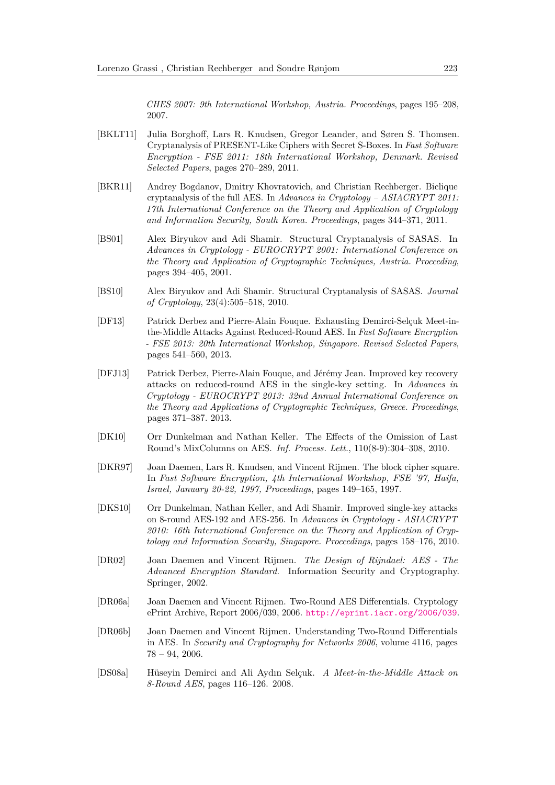*CHES 2007: 9th International Workshop, Austria. Proceedings*, pages 195–208, 2007.

- <span id="page-31-11"></span>[BKLT11] Julia Borghoff, Lars R. Knudsen, Gregor Leander, and Søren S. Thomsen. Cryptanalysis of PRESENT-Like Ciphers with Secret S-Boxes. In *Fast Software Encryption - FSE 2011: 18th International Workshop, Denmark. Revised Selected Papers*, pages 270–289, 2011.
- <span id="page-31-9"></span>[BKR11] Andrey Bogdanov, Dmitry Khovratovich, and Christian Rechberger. Biclique cryptanalysis of the full AES. In *Advances in Cryptology – ASIACRYPT 2011: 17th International Conference on the Theory and Application of Cryptology and Information Security, South Korea. Proceedings*, pages 344–371, 2011.
- <span id="page-31-12"></span>[BS01] Alex Biryukov and Adi Shamir. Structural Cryptanalysis of SASAS. In *Advances in Cryptology - EUROCRYPT 2001: International Conference on the Theory and Application of Cryptographic Techniques, Austria. Proceeding*, pages 394–405, 2001.
- <span id="page-31-0"></span>[BS10] Alex Biryukov and Adi Shamir. Structural Cryptanalysis of SASAS. *Journal of Cryptology*, 23(4):505–518, 2010.
- <span id="page-31-8"></span>[DF13] Patrick Derbez and Pierre-Alain Fouque. Exhausting Demirci-Selçuk Meet-inthe-Middle Attacks Against Reduced-Round AES. In *Fast Software Encryption - FSE 2013: 20th International Workshop, Singapore. Revised Selected Papers*, pages 541–560, 2013.
- <span id="page-31-7"></span>[DFJ13] Patrick Derbez, Pierre-Alain Fouque, and Jérémy Jean. Improved key recovery attacks on reduced-round AES in the single-key setting. In *Advances in Cryptology - EUROCRYPT 2013: 32nd Annual International Conference on the Theory and Applications of Cryptographic Techniques, Greece. Proceedings*, pages 371–387. 2013.
- <span id="page-31-10"></span>[DK10] Orr Dunkelman and Nathan Keller. The Effects of the Omission of Last Round's MixColumns on AES. *Inf. Process. Lett.*, 110(8-9):304–308, 2010.
- <span id="page-31-4"></span>[DKR97] Joan Daemen, Lars R. Knudsen, and Vincent Rijmen. The block cipher square. In *Fast Software Encryption, 4th International Workshop, FSE '97, Haifa, Israel, January 20-22, 1997, Proceedings*, pages 149–165, 1997.
- <span id="page-31-6"></span>[DKS10] Orr Dunkelman, Nathan Keller, and Adi Shamir. Improved single-key attacks on 8-round AES-192 and AES-256. In *Advances in Cryptology - ASIACRYPT 2010: 16th International Conference on the Theory and Application of Cryptology and Information Security, Singapore. Proceedings*, pages 158–176, 2010.
- <span id="page-31-1"></span>[DR02] Joan Daemen and Vincent Rijmen. *The Design of Rijndael: AES - The Advanced Encryption Standard*. Information Security and Cryptography. Springer, 2002.
- <span id="page-31-2"></span>[DR06a] Joan Daemen and Vincent Rijmen. Two-Round AES Differentials. Cryptology ePrint Archive, Report 2006/039, 2006. <http://eprint.iacr.org/2006/039>.
- <span id="page-31-3"></span>[DR06b] Joan Daemen and Vincent Rijmen. Understanding Two-Round Differentials in AES. In *Security and Cryptography for Networks 2006*, volume 4116, pages 78 – 94, 2006.
- <span id="page-31-5"></span>[DS08a] Hüseyin Demirci and Ali Aydın Selçuk. *A Meet-in-the-Middle Attack on 8-Round AES*, pages 116–126. 2008.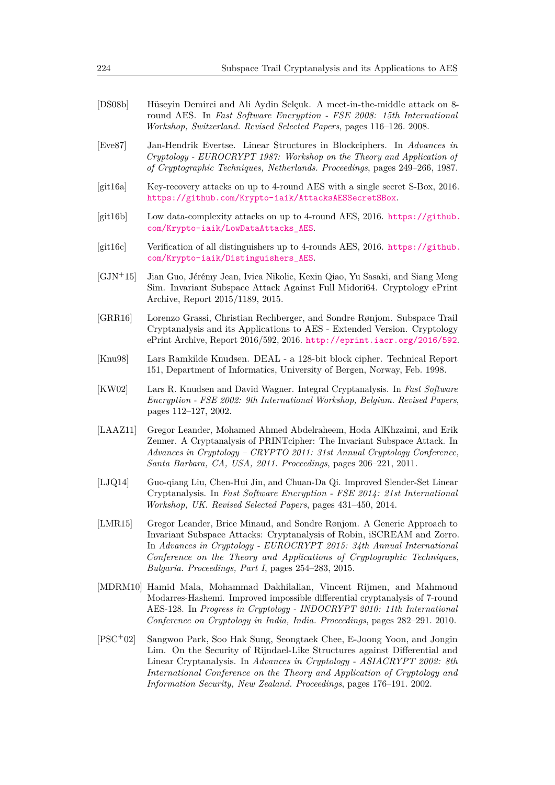<span id="page-32-8"></span>

| [DS08b]                   | Hüseyin Demirci and Ali Aydin Selçuk. A meet-in-the-middle attack on 8-<br>round AES. In Fast Software Encryption - FSE 2008: 15th International<br>Workshop, Switzerland. Revised Selected Papers, pages 116–126. 2008. |
|---------------------------|--------------------------------------------------------------------------------------------------------------------------------------------------------------------------------------------------------------------------|
| $[\text{Ex}_{\alpha}$ 87] | Ian-Hondrik Evertse Linear Structures in Blockciphers In Advances in                                                                                                                                                     |

- <span id="page-32-4"></span>[Eve87] Jan-Hendrik Evertse. Linear Structures in Blockciphers. In *Advances in Cryptology - EUROCRYPT 1987: Workshop on the Theory and Application of of Cryptographic Techniques, Netherlands. Proceedings*, pages 249–266, 1987.
- <span id="page-32-12"></span>[git16a] Key-recovery attacks on up to 4-round AES with a single secret S-Box, 2016. [https://github.com/Krypto-iaik/AttacksAESSecretSBox](https://github.com/Krypto-iaik/Attacks AES SecretSBox).
- <span id="page-32-11"></span> $[git16b]$  Low data-complexity attacks on up to 4-round AES, 2016. [https://github.](https://github.com/Krypto-iaik/LowDataAttacks_AES) [com/Krypto-iaik/LowDataAttacks\\_AES](https://github.com/Krypto-iaik/LowDataAttacks_AES).
- <span id="page-32-10"></span>[git16c] Verification of all distinguishers up to 4-rounds AES, 2016. [https://github.](https://github.com/Krypto-iaik/Distinguishers_AES) [com/Krypto-iaik/Distinguishers\\_AES](https://github.com/Krypto-iaik/Distinguishers_AES).
- <span id="page-32-3"></span>[GJN<sup>+</sup>15] Jian Guo, Jérémy Jean, Ivica Nikolic, Kexin Qiao, Yu Sasaki, and Siang Meng Sim. Invariant Subspace Attack Against Full Midori64. Cryptology ePrint Archive, Report 2015/1189, 2015.
- <span id="page-32-2"></span>[GRR16] Lorenzo Grassi, Christian Rechberger, and Sondre Rønjom. Subspace Trail Cryptanalysis and its Applications to AES - Extended Version. Cryptology ePrint Archive, Report 2016/592, 2016. <http://eprint.iacr.org/2016/592>.
- <span id="page-32-6"></span>[Knu98] Lars Ramkilde Knudsen. DEAL - a 128-bit block cipher. Technical Report 151, Department of Informatics, University of Bergen, Norway, Feb. 1998.
- <span id="page-32-5"></span>[KW02] Lars R. Knudsen and David Wagner. Integral Cryptanalysis. In *Fast Software Encryption - FSE 2002: 9th International Workshop, Belgium. Revised Papers*, pages 112–127, 2002.
- <span id="page-32-0"></span>[LAAZ11] Gregor Leander, Mohamed Ahmed Abdelraheem, Hoda AlKhzaimi, and Erik Zenner. A Cryptanalysis of PRINTcipher: The Invariant Subspace Attack. In *Advances in Cryptology – CRYPTO 2011: 31st Annual Cryptology Conference, Santa Barbara, CA, USA, 2011. Proceedings*, pages 206–221, 2011.
- <span id="page-32-9"></span>[LJQ14] Guo-qiang Liu, Chen-Hui Jin, and Chuan-Da Qi. Improved Slender-Set Linear Cryptanalysis. In *Fast Software Encryption - FSE 2014: 21st International Workshop, UK. Revised Selected Papers*, pages 431–450, 2014.
- <span id="page-32-1"></span>[LMR15] Gregor Leander, Brice Minaud, and Sondre Rønjom. A Generic Approach to Invariant Subspace Attacks: Cryptanalysis of Robin, iSCREAM and Zorro. In *Advances in Cryptology - EUROCRYPT 2015: 34th Annual International Conference on the Theory and Applications of Cryptographic Techniques, Bulgaria. Proceedings, Part I*, pages 254–283, 2015.
- <span id="page-32-13"></span>[MDRM10] Hamid Mala, Mohammad Dakhilalian, Vincent Rijmen, and Mahmoud Modarres-Hashemi. Improved impossible differential cryptanalysis of 7-round AES-128. In *Progress in Cryptology - INDOCRYPT 2010: 11th International Conference on Cryptology in India, India. Proceedings*, pages 282–291. 2010.
- <span id="page-32-7"></span>[PSC<sup>+</sup>02] Sangwoo Park, Soo Hak Sung, Seongtaek Chee, E-Joong Yoon, and Jongin Lim. On the Security of Rijndael-Like Structures against Differential and Linear Cryptanalysis. In *Advances in Cryptology - ASIACRYPT 2002: 8th International Conference on the Theory and Application of Cryptology and Information Security, New Zealand. Proceedings*, pages 176–191. 2002.